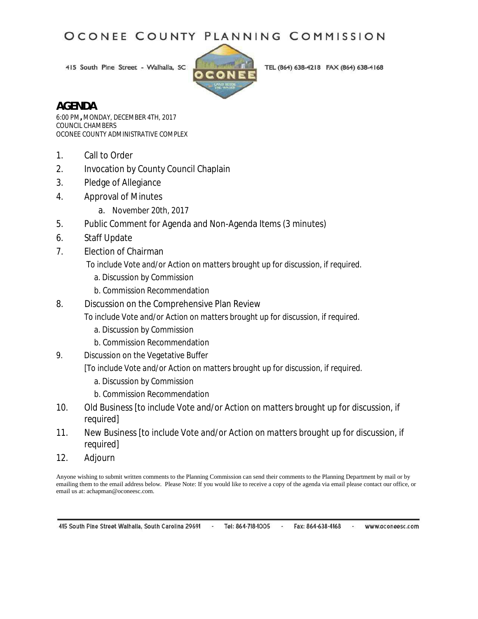## OCONEE COUNTY PLANNING COMMISSION

415 South Pine Street - Walhalla, SC



TEL (864) 638-4218 FAX (864) 638-4168

## **AGENDA**

6:00 PM**,** MONDAY, DECEMBER 4TH, 2017 COUNCIL CHAMBERS OCONEE COUNTY ADMINISTRATIVE COMPLEX

- 1. Call to Order
- 2. Invocation by County Council Chaplain
- 3. Pledge of Allegiance
- 4. Approval of Minutes
	- a. November 20th, 2017
- 5. Public Comment for Agenda and Non-Agenda Items (3 minutes)
- 6. Staff Update
- 7. Election of Chairman
	- *To include Vote and/or Action on matters brought up for discussion, if required.*
		- a. Discussion by Commission
		- b. Commission Recommendation
- 8. Discussion on the Comprehensive Plan Review
	- *To include Vote and/or Action on matters brought up for discussion, if required.*
		- a. Discussion by Commission
		- b. Commission Recommendation
- 9. Discussion on the Vegetative Buffer
	- [*To include Vote and/or Action on matters brought up for discussion, if required*.
		- a. Discussion by Commission
		- b. Commission Recommendation
- 10. Old Business [*to include Vote and/or Action on matters brought up for discussion, if required*]
- 11. New Business [*to include Vote and/or Action on matters brought up for discussion, if required*]
- 12. Adjourn

Anyone wishing to submit written comments to the Planning Commission can send their comments to the Planning Department by mail or by emailing them to the email address below. Please Note: If you would like to receive a copy of the agenda via email please contact our office, or email us at: achapman@oconeesc.com.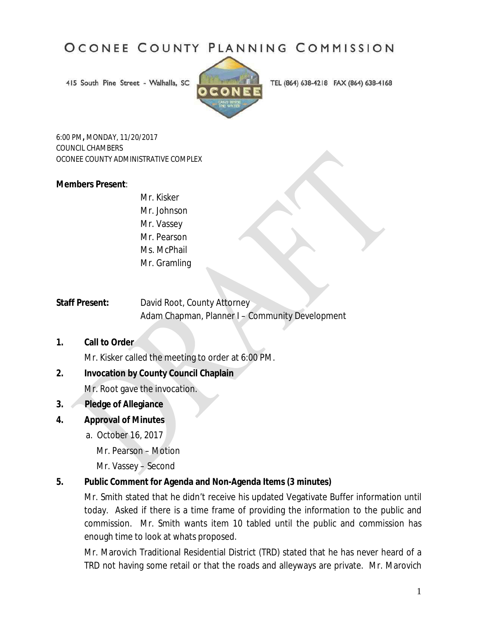# OCONEE COUNTY PLANNING COMMISSION

415 South Pine Street - Walhalla, SC



TEL (864) 638-4218 FAX (864) 638-4168

6:00 PM**,** MONDAY, 11/20/2017 COUNCIL CHAMBERS OCONEE COUNTY ADMINISTRATIVE COMPLEX

## **Members Present**:

Mr. Kisker Mr. Johnson Mr. Vassey Mr. Pearson Ms. McPhail Mr. Gramling

| <b>Staff Present:</b> | David Root, County Attorney                     |
|-----------------------|-------------------------------------------------|
|                       | Adam Chapman, Planner I - Community Development |

## **1. Call to Order**

Mr. Kisker called the meeting to order at 6:00 PM.

## **2. Invocation by County Council Chaplain**

Mr. Root gave the invocation.

- **3. Pledge of Allegiance**
- **4. Approval of Minutes** 
	- a. October 16, 2017
		- Mr. Pearson Motion
		- Mr. Vassey Second

## **5. Public Comment for Agenda and Non-Agenda Items (3 minutes)**

Mr. Smith stated that he didn't receive his updated Vegativate Buffer information until today. Asked if there is a time frame of providing the information to the public and commission. Mr. Smith wants item 10 tabled until the public and commission has enough time to look at whats proposed.

Mr. Marovich Traditional Residential District (TRD) stated that he has never heard of a TRD not having some retail or that the roads and alleyways are private. Mr. Marovich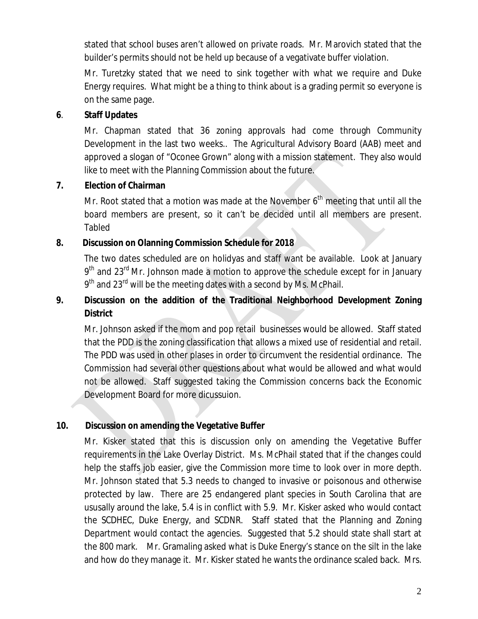stated that school buses aren't allowed on private roads. Mr. Marovich stated that the builder's permits should not be held up because of a vegativate buffer violation.

Mr. Turetzky stated that we need to sink together with what we require and Duke Energy requires. What might be a thing to think about is a grading permit so everyone is on the same page.

## **6**. **Staff Updates**

Mr. Chapman stated that 36 zoning approvals had come through Community Development in the last two weeks.. The Agricultural Advisory Board (AAB) meet and approved a slogan of "Oconee Grown" along with a mission statement. They also would like to meet with the Planning Commission about the future.

## **7. Election of Chairman**

Mr. Root stated that a motion was made at the November  $6<sup>th</sup>$  meeting that until all the board members are present, so it can't be decided until all members are present. Tabled

## **8. Discussion on Olanning Commission Schedule for 2018**

The two dates scheduled are on holidyas and staff want be available. Look at January 9<sup>th</sup> and 23<sup>rd</sup> Mr. Johnson made a motion to approve the schedule except for in January  $9<sup>th</sup>$  and 23<sup>rd</sup> will be the meeting dates with a second by Ms. McPhail.

## **9. Discussion on the addition of the Traditional Neighborhood Development Zoning District**

Mr. Johnson asked if the mom and pop retail businesses would be allowed. Staff stated that the PDD is the zoning classification that allows a mixed use of residential and retail. The PDD was used in other plases in order to circumvent the residential ordinance. The Commission had several other questions about what would be allowed and what would not be allowed. Staff suggested taking the Commission concerns back the Economic Development Board for more dicussuion.

## **10. Discussion on amending the Vegetative Buffer**

Mr. Kisker stated that this is discussion only on amending the Vegetative Buffer requirements in the Lake Overlay District. Ms. McPhail stated that if the changes could help the staffs job easier, give the Commission more time to look over in more depth. Mr. Johnson stated that 5.3 needs to changed to invasive or poisonous and otherwise protected by law. There are 25 endangered plant species in South Carolina that are ususally around the lake, 5.4 is in conflict with 5.9. Mr. Kisker asked who would contact the SCDHEC, Duke Energy, and SCDNR. Staff stated that the Planning and Zoning Department would contact the agencies. Suggested that 5.2 should state shall start at the 800 mark. Mr. Gramaling asked what is Duke Energy's stance on the silt in the lake and how do they manage it. Mr. Kisker stated he wants the ordinance scaled back. Mrs.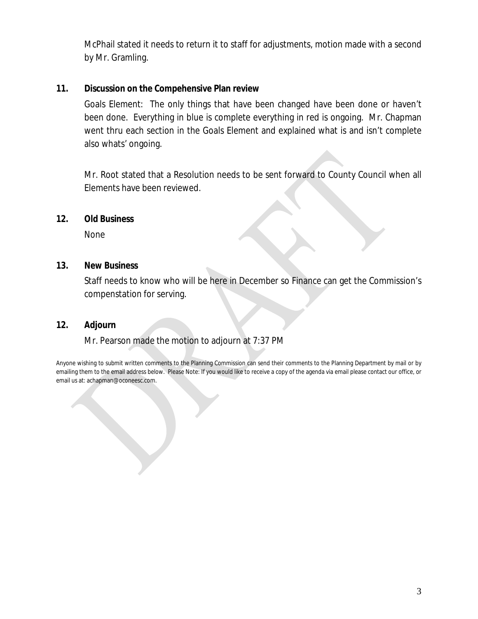McPhail stated it needs to return it to staff for adjustments, motion made with a second by Mr. Gramling.

## **11. Discussion on the Compehensive Plan review**

Goals Element: The only things that have been changed have been done or haven't been done. Everything in blue is complete everything in red is ongoing. Mr. Chapman went thru each section in the Goals Element and explained what is and isn't complete also whats' ongoing.

Mr. Root stated that a Resolution needs to be sent forward to County Council when all Elements have been reviewed.

## **12. Old Business**

None

## **13. New Business**

Staff needs to know who will be here in December so Finance can get the Commission's compenstation for serving.

#### **12. Adjourn**

## Mr. Pearson made the motion to adjourn at 7:37 PM

Anyone wishing to submit written comments to the Planning Commission can send their comments to the Planning Department by mail or by emailing them to the email address below. Please Note: If you would like to receive a copy of the agenda via email please contact our office, or email us at: achapman@oconeesc.com.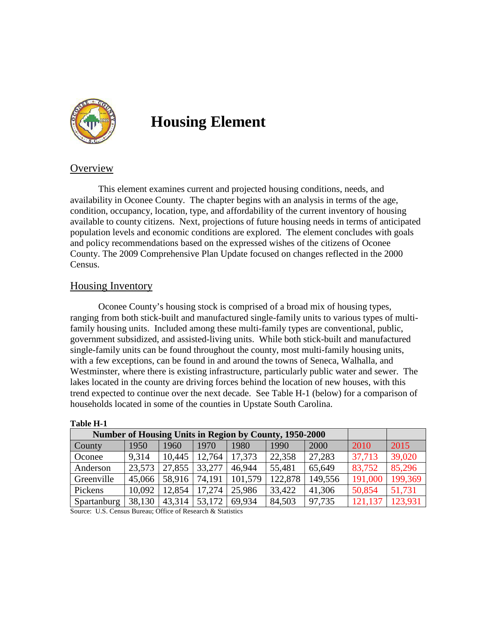

# **Housing Element**

## **Overview**

This element examines current and projected housing conditions, needs, and availability in Oconee County. The chapter begins with an analysis in terms of the age, condition, occupancy, location, type, and affordability of the current inventory of housing available to county citizens. Next, projections of future housing needs in terms of anticipated population levels and economic conditions are explored. The element concludes with goals and policy recommendations based on the expressed wishes of the citizens of Oconee County. The 2009 Comprehensive Plan Update focused on changes reflected in the 2000 Census.

## Housing Inventory

Oconee County's housing stock is comprised of a broad mix of housing types, ranging from both stick-built and manufactured single-family units to various types of multifamily housing units. Included among these multi-family types are conventional, public, government subsidized, and assisted-living units. While both stick-built and manufactured single-family units can be found throughout the county, most multi-family housing units, with a few exceptions, can be found in and around the towns of Seneca, Walhalla, and Westminster, where there is existing infrastructure, particularly public water and sewer. The lakes located in the county are driving forces behind the location of new houses, with this trend expected to continue over the next decade. See Table H-1 (below) for a comparison of households located in some of the counties in Upstate South Carolina.

| <b>Number of Housing Units in Region by County, 1950-2000</b> |        |        |        |         |         |         |         |         |
|---------------------------------------------------------------|--------|--------|--------|---------|---------|---------|---------|---------|
| County                                                        | 1950   | 1960   | 1970   | 1980    | 1990    | 2000    | 2010    | 2015    |
| Oconee                                                        | 9.314  | 10,445 | 12,764 | 17,373  | 22,358  | 27,283  | 37,713  | 39,020  |
| Anderson                                                      | 23,573 | 27,855 | 33,277 | 46,944  | 55,481  | 65,649  | 83,752  | 85,296  |
| Greenville                                                    | 45,066 | 58,916 | 74,191 | 101,579 | 122,878 | 149,556 | 191,000 | 199,369 |
| Pickens                                                       | 10,092 | 12,854 | 17,274 | 25,986  | 33,422  | 41,306  | 50,854  | 51,731  |
| Spartanburg                                                   | 38,130 | 43,314 | 53,172 | 69,934  | 84,503  | 97,735  | 121,137 | 123,931 |

| Table H |  |
|---------|--|
|---------|--|

Source: U.S. Census Bureau; Office of Research & Statistics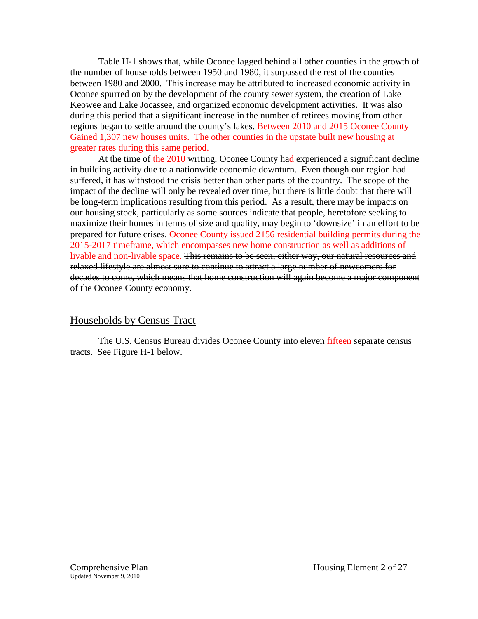Table H-1 shows that, while Oconee lagged behind all other counties in the growth of the number of households between 1950 and 1980, it surpassed the rest of the counties between 1980 and 2000. This increase may be attributed to increased economic activity in Oconee spurred on by the development of the county sewer system, the creation of Lake Keowee and Lake Jocassee, and organized economic development activities. It was also during this period that a significant increase in the number of retirees moving from other regions began to settle around the county's lakes. Between 2010 and 2015 Oconee County Gained 1,307 new houses units. The other counties in the upstate built new housing at greater rates during this same period.

At the time of the 2010 writing, Oconee County had experienced a significant decline in building activity due to a nationwide economic downturn. Even though our region had suffered, it has withstood the crisis better than other parts of the country. The scope of the impact of the decline will only be revealed over time, but there is little doubt that there will be long-term implications resulting from this period. As a result, there may be impacts on our housing stock, particularly as some sources indicate that people, heretofore seeking to maximize their homes in terms of size and quality, may begin to 'downsize' in an effort to be prepared for future crises. Oconee County issued 2156 residential building permits during the 2015-2017 timeframe, which encompasses new home construction as well as additions of livable and non-livable space. This remains to be seen; either way, our natural resources and relaxed lifestyle are almost sure to continue to attract a large number of newcomers for decades to come, which means that home construction will again become a major component of the Oconee County economy.

## Households by Census Tract

The U.S. Census Bureau divides Oconee County into eleven fifteen separate census tracts. See Figure H-1 below.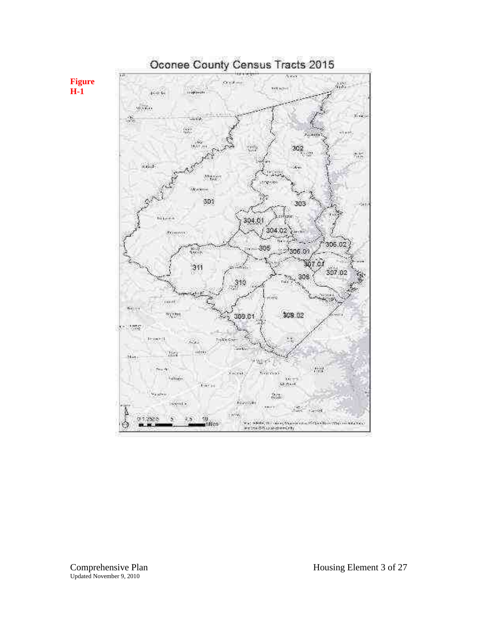

**Figure H-1**

Updated November 9, 2010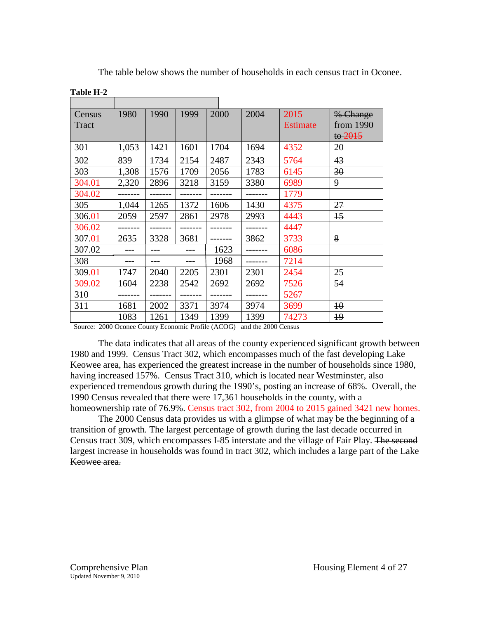The table below shows the number of households in each census tract in Oconee.

| Census<br>Tract | 1980  | 1990 | 1999 | 2000 | 2004 | 2015<br><b>Estimate</b> | % Change<br>from 1990<br>to $2015$ |
|-----------------|-------|------|------|------|------|-------------------------|------------------------------------|
| 301             | 1,053 | 1421 | 1601 | 1704 | 1694 | 4352                    | 20                                 |
| 302             | 839   | 1734 | 2154 | 2487 | 2343 | 5764                    | 43                                 |
| 303             | 1,308 | 1576 | 1709 | 2056 | 1783 | 6145                    | 30                                 |
| 304.01          | 2,320 | 2896 | 3218 | 3159 | 3380 | 6989                    | $\overline{9}$                     |
| 304.02          |       |      |      |      |      | 1779                    |                                    |
| 305             | 1,044 | 1265 | 1372 | 1606 | 1430 | 4375                    | 27                                 |
| 306.01          | 2059  | 2597 | 2861 | 2978 | 2993 | 4443                    | $\overline{15}$                    |
| 306.02          |       |      |      |      |      | 4447                    |                                    |
| 307.01          | 2635  | 3328 | 3681 |      | 3862 | 3733                    | 8                                  |
| 307.02          |       |      |      | 1623 |      | 6086                    |                                    |
| 308             |       |      |      | 1968 |      | 7214                    |                                    |
| 309.01          | 1747  | 2040 | 2205 | 2301 | 2301 | 2454                    | 25                                 |
| 309.02          | 1604  | 2238 | 2542 | 2692 | 2692 | 7526                    | 54                                 |
| 310             |       |      |      |      |      | 5267                    |                                    |
| 311             | 1681  | 2002 | 3371 | 3974 | 3974 | 3699                    | $\overline{10}$                    |
|                 | 1083  | 1261 | 1349 | 1399 | 1399 | 74273                   | $+9$                               |

**Table H-2**

Source: 2000 Oconee County Economic Profile (ACOG) and the 2000 Census

The data indicates that all areas of the county experienced significant growth between 1980 and 1999. Census Tract 302, which encompasses much of the fast developing Lake Keowee area, has experienced the greatest increase in the number of households since 1980, having increased 157%. Census Tract 310, which is located near Westminster, also experienced tremendous growth during the 1990's, posting an increase of 68%. Overall, the 1990 Census revealed that there were 17,361 households in the county, with a homeownership rate of 76.9%. Census tract 302, from 2004 to 2015 gained 3421 new homes.

The 2000 Census data provides us with a glimpse of what may be the beginning of a transition of growth. The largest percentage of growth during the last decade occurred in Census tract 309, which encompasses I-85 interstate and the village of Fair Play. The second largest increase in households was found in tract 302, which includes a large part of the Lake Keowee area.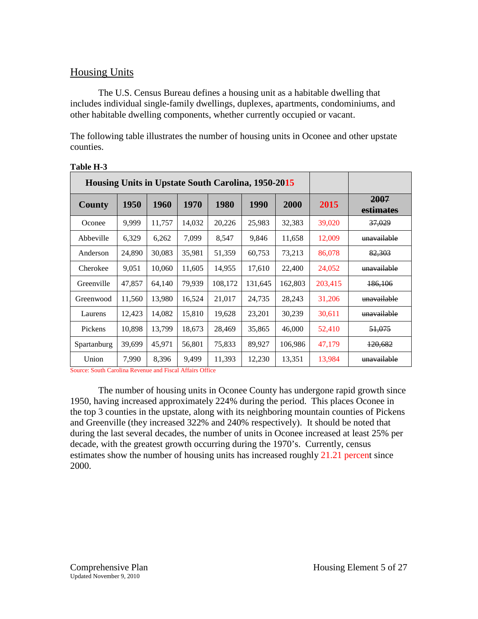## **Housing Units**

The U.S. Census Bureau defines a housing unit as a habitable dwelling that includes individual single-family dwellings, duplexes, apartments, condominiums, and other habitable dwelling components, whether currently occupied or vacant.

The following table illustrates the number of housing units in Oconee and other upstate counties.

| Housing Units in Upstate South Carolina, 1950-2015 |        |        |        |         |             |         |         |                   |
|----------------------------------------------------|--------|--------|--------|---------|-------------|---------|---------|-------------------|
| <b>County</b>                                      | 1950   | 1960   | 1970   | 1980    | <b>1990</b> | 2000    | 2015    | 2007<br>estimates |
| Oconee                                             | 9,999  | 11,757 | 14,032 | 20,226  | 25,983      | 32,383  | 39,020  | 37,029            |
| Abbeville                                          | 6,329  | 6,262  | 7,099  | 8,547   | 9,846       | 11,658  | 12,009  | unavailable       |
| Anderson                                           | 24,890 | 30,083 | 35,981 | 51,359  | 60,753      | 73,213  | 86,078  | 82,303            |
| Cherokee                                           | 9,051  | 10,060 | 11,605 | 14,955  | 17,610      | 22,400  | 24,052  | unavailable       |
| Greenville                                         | 47,857 | 64,140 | 79,939 | 108,172 | 131,645     | 162,803 | 203,415 | 186,106           |
| Greenwood                                          | 11,560 | 13,980 | 16,524 | 21,017  | 24,735      | 28,243  | 31,206  | unavailable       |
| Laurens                                            | 12,423 | 14,082 | 15,810 | 19,628  | 23,201      | 30,239  | 30,611  | unavailable       |
| Pickens                                            | 10,898 | 13,799 | 18,673 | 28,469  | 35,865      | 46,000  | 52,410  | 51,075            |
| Spartanburg                                        | 39,699 | 45,971 | 56,801 | 75,833  | 89,927      | 106,986 | 47,179  | 120,682           |
| Union                                              | 7,990  | 8,396  | 9,499  | 11,393  | 12,230      | 13,351  | 13,984  | unavailable       |

#### **Table H-3**

Source: South Carolina Revenue and Fiscal Affairs Office

The number of housing units in Oconee County has undergone rapid growth since 1950, having increased approximately 224% during the period. This places Oconee in the top 3 counties in the upstate, along with its neighboring mountain counties of Pickens and Greenville (they increased 322% and 240% respectively). It should be noted that during the last several decades, the number of units in Oconee increased at least 25% per decade, with the greatest growth occurring during the 1970's. Currently, census estimates show the number of housing units has increased roughly 21.21 percent since 2000.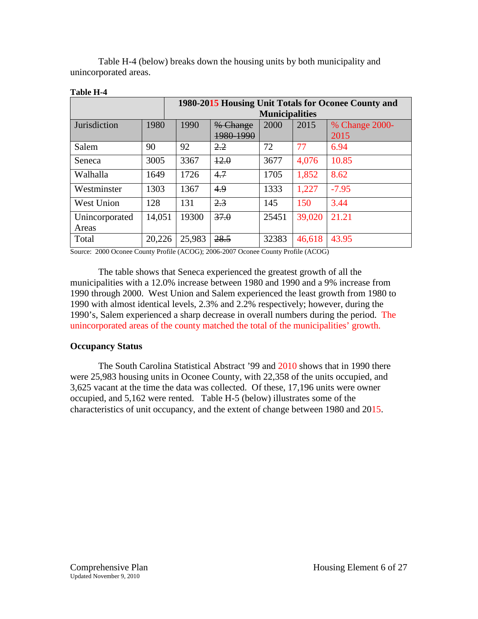Table H-4 (below) breaks down the housing units by both municipality and unincorporated areas.

| Table H-4 |  |
|-----------|--|
|-----------|--|

|                   |        | 1980-2015 Housing Unit Totals for Oconee County and |           |       |        |                |  |  |
|-------------------|--------|-----------------------------------------------------|-----------|-------|--------|----------------|--|--|
|                   |        | <b>Municipalities</b>                               |           |       |        |                |  |  |
| Jurisdiction      | 1980   | 1990                                                | % Change  | 2000  | 2015   | % Change 2000- |  |  |
|                   |        |                                                     | 1980-1990 |       |        | 2015           |  |  |
| Salem             | 90     | 92                                                  | 2.2       | 72    | 77     | 6.94           |  |  |
| Seneca            | 3005   | 3367                                                | 42.0      | 3677  | 4,076  | 10.85          |  |  |
| Walhalla          | 1649   | 1726                                                | 4.7       | 1705  | 1,852  | 8.62           |  |  |
| Westminster       | 1303   | 1367                                                | 4.9       | 1333  | 1,227  | $-7.95$        |  |  |
| <b>West Union</b> | 128    | 131                                                 | 2.3       | 145   | 150    | 3.44           |  |  |
| Unincorporated    | 14,051 | 19300                                               | 37.0      | 25451 | 39,020 | 21.21          |  |  |
| Areas             |        |                                                     |           |       |        |                |  |  |
| Total             | 20,226 | 25,983                                              | 28.5      | 32383 | 46,618 | 43.95          |  |  |

Source: 2000 Oconee County Profile (ACOG); 2006-2007 Oconee County Profile (ACOG)

The table shows that Seneca experienced the greatest growth of all the municipalities with a 12.0% increase between 1980 and 1990 and a 9% increase from 1990 through 2000. West Union and Salem experienced the least growth from 1980 to 1990 with almost identical levels, 2.3% and 2.2% respectively; however, during the 1990's, Salem experienced a sharp decrease in overall numbers during the period. The unincorporated areas of the county matched the total of the municipalities' growth.

## **Occupancy Status**

The South Carolina Statistical Abstract '99 and 2010 shows that in 1990 there were 25,983 housing units in Oconee County, with 22,358 of the units occupied, and 3,625 vacant at the time the data was collected. Of these, 17,196 units were owner occupied, and 5,162 were rented. Table H-5 (below) illustrates some of the characteristics of unit occupancy, and the extent of change between 1980 and 2015.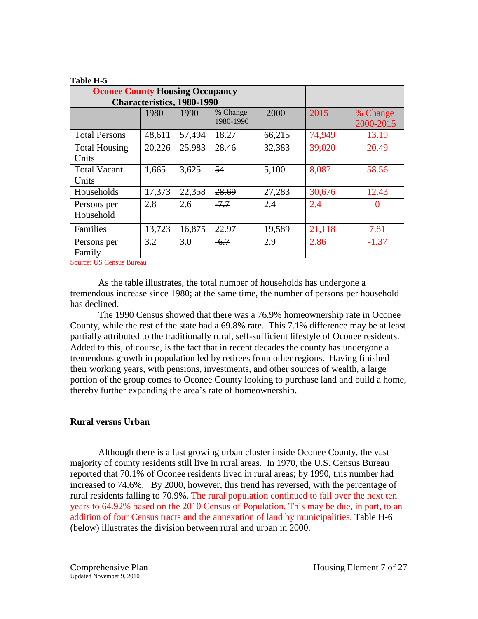| <b>Oconee County Housing Occupancy</b> | <b>Characteristics, 1980-1990</b> |        |                       |        |        |                       |
|----------------------------------------|-----------------------------------|--------|-----------------------|--------|--------|-----------------------|
|                                        | 1980                              | 1990   | % Change<br>1980 1990 | 2000   | 2015   | % Change<br>2000-2015 |
| <b>Total Persons</b>                   | 48,611                            | 57,494 | 18.27                 | 66,215 | 74,949 | 13.19                 |
| <b>Total Housing</b><br>Units          | 20,226                            | 25,983 | 28.46                 | 32,383 | 39,020 | 20.49                 |
| <b>Total Vacant</b><br>Units           | 1,665                             | 3,625  | 54                    | 5,100  | 8,087  | 58.56                 |
| Households                             | 17,373                            | 22,358 | 28.69                 | 27,283 | 30,676 | 12.43                 |
| Persons per<br>Household               | 2.8                               | 2.6    | $-7.7$                | 2.4    | 2.4    | $\Omega$              |
| Families                               | 13,723                            | 16,875 | 22.97                 | 19,589 | 21,118 | 7.81                  |
| Persons per<br>Family                  | 3.2                               | 3.0    | $-6.7$                | 2.9    | 2.86   | $-1.37$               |

#### **Table H-5**

Source: US Census Bureau

As the table illustrates, the total number of households has undergone a tremendous increase since 1980; at the same time, the number of persons per household has declined.

The 1990 Census showed that there was a 76.9% homeownership rate in Oconee County, while the rest of the state had a 69.8% rate. This 7.1% difference may be at least partially attributed to the traditionally rural, self-sufficient lifestyle of Oconee residents. Added to this, of course, is the fact that in recent decades the county has undergone a tremendous growth in population led by retirees from other regions. Having finished their working years, with pensions, investments, and other sources of wealth, a large portion of the group comes to Oconee County looking to purchase land and build a home, thereby further expanding the area's rate of homeownership.

#### **Rural versus Urban**

Although there is a fast growing urban cluster inside Oconee County, the vast majority of county residents still live in rural areas. In 1970, the U.S. Census Bureau reported that 70.1% of Oconee residents lived in rural areas; by 1990, this number had increased to 74.6%. By 2000, however, this trend has reversed, with the percentage of rural residents falling to 70.9%. The rural population continued to fall over the next ten years to 64.92% based on the 2010 Census of Population. This may be due, in part, to an addition of four Census tracts and the annexation of land by municipalities. Table H-6 (below) illustrates the division between rural and urban in 2000.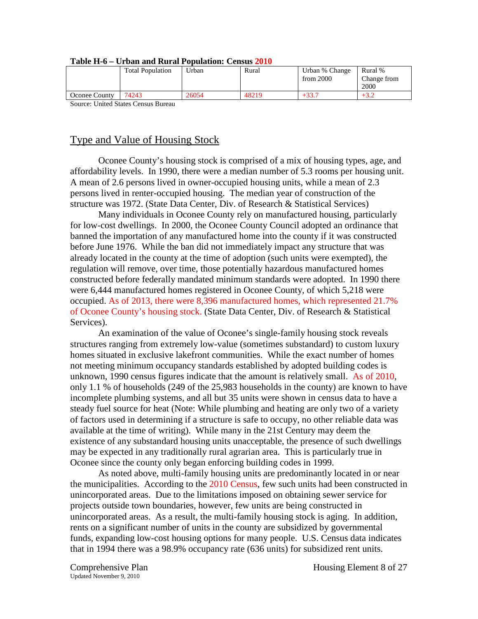|                      | <b>Total Population</b> | Urban | Rural | Urban % Change<br>from $2000$ | Rural %<br>Change from<br>2000 |
|----------------------|-------------------------|-------|-------|-------------------------------|--------------------------------|
| <b>Oconee County</b> | 74243                   | 26054 | 48219 | $+33.7$                       |                                |
|                      |                         |       |       |                               |                                |

#### **Table H-6 – Urban and Rural Population: Census 2010**

Source: United States Census Bureau

## Type and Value of Housing Stock

Oconee County's housing stock is comprised of a mix of housing types, age, and affordability levels. In 1990, there were a median number of 5.3 rooms per housing unit. A mean of 2.6 persons lived in owner-occupied housing units, while a mean of 2.3 persons lived in renter-occupied housing. The median year of construction of the structure was 1972. (State Data Center, Div. of Research & Statistical Services)

Many individuals in Oconee County rely on manufactured housing, particularly for low-cost dwellings. In 2000, the Oconee County Council adopted an ordinance that banned the importation of any manufactured home into the county if it was constructed before June 1976. While the ban did not immediately impact any structure that was already located in the county at the time of adoption (such units were exempted), the regulation will remove, over time, those potentially hazardous manufactured homes constructed before federally mandated minimum standards were adopted. In 1990 there were 6,444 manufactured homes registered in Oconee County, of which 5,218 were occupied. As of 2013, there were 8,396 manufactured homes, which represented 21.7% of Oconee County's housing stock. (State Data Center, Div. of Research & Statistical Services).

An examination of the value of Oconee's single-family housing stock reveals structures ranging from extremely low-value (sometimes substandard) to custom luxury homes situated in exclusive lakefront communities. While the exact number of homes not meeting minimum occupancy standards established by adopted building codes is unknown, 1990 census figures indicate that the amount is relatively small. As of 2010, only 1.1 % of households (249 of the 25,983 households in the county) are known to have incomplete plumbing systems, and all but 35 units were shown in census data to have a steady fuel source for heat (Note: While plumbing and heating are only two of a variety of factors used in determining if a structure is safe to occupy, no other reliable data was available at the time of writing). While many in the 21st Century may deem the existence of any substandard housing units unacceptable, the presence of such dwellings may be expected in any traditionally rural agrarian area. This is particularly true in Oconee since the county only began enforcing building codes in 1999.

As noted above, multi-family housing units are predominantly located in or near the municipalities. According to the 2010 Census, few such units had been constructed in unincorporated areas. Due to the limitations imposed on obtaining sewer service for projects outside town boundaries, however, few units are being constructed in unincorporated areas. As a result, the multi-family housing stock is aging. In addition, rents on a significant number of units in the county are subsidized by governmental funds, expanding low-cost housing options for many people. U.S. Census data indicates that in 1994 there was a 98.9% occupancy rate (636 units) for subsidized rent units.

Updated November 9, 2010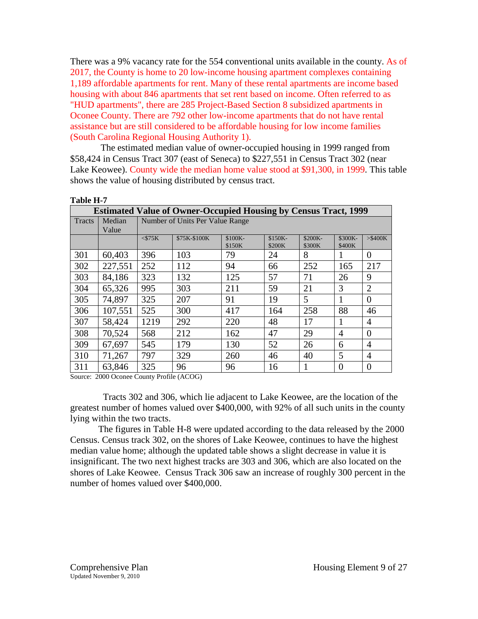There was a 9% vacancy rate for the 554 conventional units available in the county. As of 2017, the County is home to 20 low-income housing apartment complexes containing 1,189 affordable apartments for rent. Many of these rental apartments are income based housing with about 846 apartments that set rent based on income. Often referred to as "HUD apartments", there are 285 Project-Based Section 8 subsidized apartments in Oconee County. There are 792 other low-income apartments that do not have rental assistance but are still considered to be affordable housing for low income families (South Carolina Regional Housing Authority 1).

The estimated median value of owner-occupied housing in 1999 ranged from \$58,424 in Census Tract 307 (east of Seneca) to \$227,551 in Census Tract 302 (near Lake Keowee). County wide the median home value stood at \$91,300, in 1999. This table shows the value of housing distributed by census tract.

| <b>Estimated Value of Owner-Occupied Housing by Census Tract, 1999</b> |         |              |                                 |                    |                   |                   |                   |                |  |
|------------------------------------------------------------------------|---------|--------------|---------------------------------|--------------------|-------------------|-------------------|-------------------|----------------|--|
| Tracts                                                                 | Median  |              | Number of Units Per Value Range |                    |                   |                   |                   |                |  |
|                                                                        | Value   |              |                                 |                    |                   |                   |                   |                |  |
|                                                                        |         | $<$ \$75 $K$ | \$75K-\$100K                    | $$100K-$<br>\$150K | \$150K-<br>\$200K | \$200K-<br>\$300K | \$300K-<br>\$400K | $>$ \$400K     |  |
| 301                                                                    | 60,403  | 396          | 103                             | 79                 | 24                | 8                 |                   | $\Omega$       |  |
| 302                                                                    | 227,551 | 252          | 112                             | 94                 | 66                | 252               | 165               | 217            |  |
| 303                                                                    | 84,186  | 323          | 132                             | 125                | 57                | 71                | 26                | 9              |  |
| 304                                                                    | 65,326  | 995          | 303                             | 211                | 59                | 21                | 3                 | $\overline{2}$ |  |
| 305                                                                    | 74,897  | 325          | 207                             | 91                 | 19                | 5                 |                   | $\Omega$       |  |
| 306                                                                    | 107,551 | 525          | 300                             | 417                | 164               | 258               | 88                | 46             |  |
| 307                                                                    | 58,424  | 1219         | 292                             | 220                | 48                | 17                | 1                 | 4              |  |
| 308                                                                    | 70,524  | 568          | 212                             | 162                | 47                | 29                | $\overline{A}$    | $\Omega$       |  |
| 309                                                                    | 67,697  | 545          | 179                             | 130                | 52                | 26                | 6                 | 4              |  |
| 310                                                                    | 71,267  | 797          | 329                             | 260                | 46                | 40                | 5                 | 4              |  |
| 311                                                                    | 63,846  | 325          | 96                              | 96                 | 16                |                   | $\Omega$          | $\Omega$       |  |

**Table H-7**

Source: 2000 Oconee County Profile (ACOG)

 Tracts 302 and 306, which lie adjacent to Lake Keowee, are the location of the greatest number of homes valued over \$400,000, with 92% of all such units in the county lying within the two tracts.

The figures in Table H-8 were updated according to the data released by the 2000 Census. Census track 302, on the shores of Lake Keowee, continues to have the highest median value home; although the updated table shows a slight decrease in value it is insignificant. The two next highest tracks are 303 and 306, which are also located on the shores of Lake Keowee. Census Track 306 saw an increase of roughly 300 percent in the number of homes valued over \$400,000.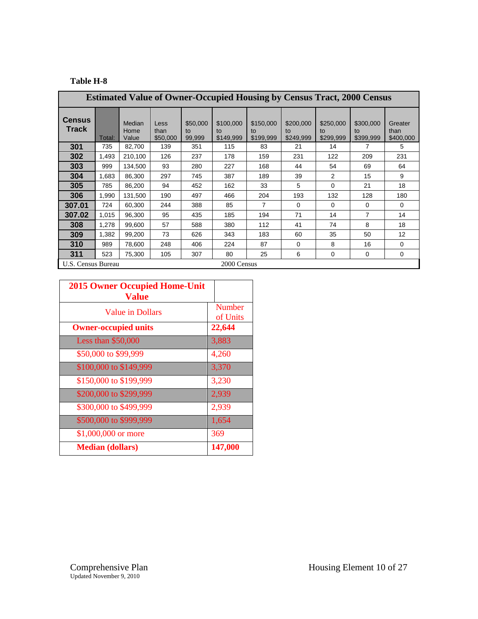## **Table H-8**

|                        | <b>Estimated Value of Owner-Occupied Housing by Census Tract, 2000 Census</b> |                         |                          |                          |                              |                              |                              |                              |                              |                              |  |
|------------------------|-------------------------------------------------------------------------------|-------------------------|--------------------------|--------------------------|------------------------------|------------------------------|------------------------------|------------------------------|------------------------------|------------------------------|--|
| <b>Census</b><br>Track | Total:                                                                        | Median<br>Home<br>Value | Less<br>than<br>\$50,000 | \$50,000<br>to<br>99,999 | \$100,000<br>to<br>\$149,999 | \$150,000<br>to<br>\$199,999 | \$200,000<br>to<br>\$249,999 | \$250,000<br>to<br>\$299,999 | \$300,000<br>to<br>\$399,999 | Greater<br>than<br>\$400,000 |  |
| 301                    | 735                                                                           | 82,700                  | 139                      | 351                      | 115                          | 83                           | 21                           | 14                           | 7                            | 5                            |  |
| 302                    | 1,493                                                                         | 210,100                 | 126                      | 237                      | 178                          | 159                          | 231                          | 122                          | 209                          | 231                          |  |
| 303                    | 999                                                                           | 134,500                 | 93                       | 280                      | 227                          | 168                          | 44                           | 54                           | 69                           | 64                           |  |
| 304                    | 1,683                                                                         | 86,300                  | 297                      | 745                      | 387                          | 189                          | 39                           | 2                            | 15                           | 9                            |  |
| 305                    | 785                                                                           | 86,200                  | 94                       | 452                      | 162                          | 33                           | 5                            | $\Omega$                     | 21                           | 18                           |  |
| 306                    | 1,990                                                                         | 131,500                 | 190                      | 497                      | 466                          | 204                          | 193                          | 132                          | 128                          | 180                          |  |
| 307.01                 | 724                                                                           | 60,300                  | 244                      | 388                      | 85                           | $\overline{7}$               | $\Omega$                     | $\Omega$                     | $\Omega$                     | $\Omega$                     |  |
| 307.02                 | 1,015                                                                         | 96,300                  | 95                       | 435                      | 185                          | 194                          | 71                           | 14                           | 7                            | 14                           |  |
| 308                    | 1,278                                                                         | 99,600                  | 57                       | 588                      | 380                          | 112                          | 41                           | 74                           | 8                            | 18                           |  |
| 309                    | 1.382                                                                         | 99,200                  | 73                       | 626                      | 343                          | 183                          | 60                           | 35                           | 50                           | 12                           |  |
| 310                    | 989                                                                           | 78,600                  | 248                      | 406                      | 224                          | 87                           | 0                            | 8                            | 16                           | $\Omega$                     |  |
| 311                    | 523                                                                           | 75,300                  | 105                      | 307                      | 80                           | 25                           | 6                            | 0                            | 0                            | 0                            |  |
| U.S. Census Bureau     |                                                                               |                         |                          |                          | 2000 Census                  |                              |                              |                              |                              |                              |  |

| <b>2015 Owner Occupied Home-Unit</b><br><b>Value</b> |                           |
|------------------------------------------------------|---------------------------|
| Value in Dollars                                     | <b>Number</b><br>of Units |
| <b>Owner-occupied units</b>                          | 22,644                    |
| Less than \$50,000                                   | 3,883                     |
| \$50,000 to \$99,999                                 | 4,260                     |
| \$100,000 to \$149,999                               | 3,370                     |
| \$150,000 to \$199,999                               | 3,230                     |
| \$200,000 to \$299,999                               | 2,939                     |
| \$300,000 to \$499,999                               | 2,939                     |
| \$500,000 to \$999,999                               | 1,654                     |
| \$1,000,000 or more                                  | 369                       |
| <b>Median (dollars)</b>                              | 147,000                   |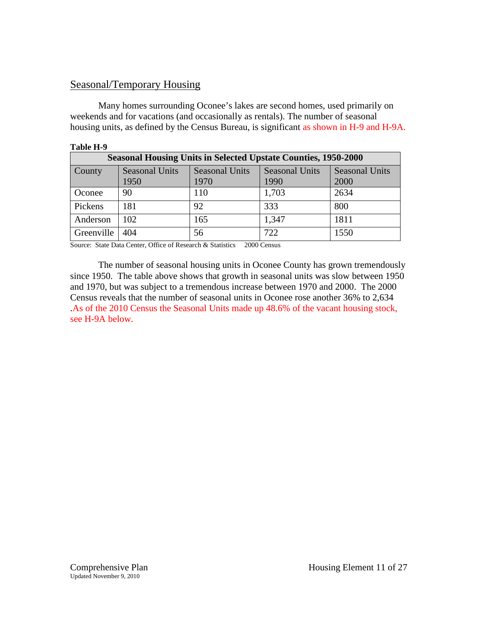## Seasonal/Temporary Housing

Many homes surrounding Oconee's lakes are second homes, used primarily on weekends and for vacations (and occasionally as rentals). The number of seasonal housing units, as defined by the Census Bureau, is significant as shown in H-9 and H-9A.

| Table H-9  |                                                                       |                       |                       |                       |  |  |  |
|------------|-----------------------------------------------------------------------|-----------------------|-----------------------|-----------------------|--|--|--|
|            | <b>Seasonal Housing Units in Selected Upstate Counties, 1950-2000</b> |                       |                       |                       |  |  |  |
| County     | <b>Seasonal Units</b>                                                 | <b>Seasonal Units</b> | <b>Seasonal Units</b> | <b>Seasonal Units</b> |  |  |  |
|            | 1950                                                                  | 1970                  | 1990                  | 2000                  |  |  |  |
| Oconee     | 90                                                                    | 110                   | 1,703                 | 2634                  |  |  |  |
| Pickens    | 181                                                                   | 92                    | 333                   | 800                   |  |  |  |
| Anderson   | 102                                                                   | 165                   | 1,347                 | 1811                  |  |  |  |
| Greenville | 404                                                                   | 56                    | 722                   | 1550                  |  |  |  |

Source: State Data Center, Office of Research & Statistics 2000 Census

The number of seasonal housing units in Oconee County has grown tremendously since 1950. The table above shows that growth in seasonal units was slow between 1950 and 1970, but was subject to a tremendous increase between 1970 and 2000. The 2000 Census reveals that the number of seasonal units in Oconee rose another 36% to 2,634 .As of the 2010 Census the Seasonal Units made up 48.6% of the vacant housing stock, see H-9A below.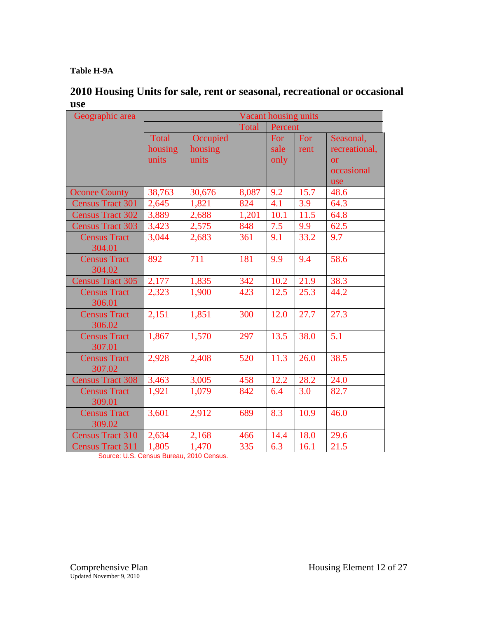## **Table H-9A**

# **2010 Housing Units for sale, rent or seasonal, recreational or occasional use**

| Geographic area         |              |          | Vacant housing units |         |      |               |
|-------------------------|--------------|----------|----------------------|---------|------|---------------|
|                         |              |          | <b>Total</b>         | Percent |      |               |
|                         | <b>Total</b> | Occupied |                      | For     | For  | Seasonal,     |
|                         | housing      | housing  |                      | sale    | rent | recreational, |
|                         | units        | units    |                      | only    |      | <b>or</b>     |
|                         |              |          |                      |         |      | occasional    |
|                         |              |          |                      |         |      | use           |
| <b>Oconee County</b>    | 38,763       | 30,676   | 8,087                | 9.2     | 15.7 | 48.6          |
| <b>Census Tract 301</b> | 2,645        | 1,821    | 824                  | 4.1     | 3.9  | 64.3          |
| <b>Census Tract 302</b> | 3,889        | 2,688    | 1,201                | 10.1    | 11.5 | 64.8          |
| <b>Census Tract 303</b> | 3,423        | 2,575    | 848                  | 7.5     | 9.9  | 62.5          |
| <b>Census Tract</b>     | 3,044        | 2,683    | 361                  | 9.1     | 33.2 | 9.7           |
| 304.01                  |              |          |                      |         |      |               |
| <b>Census Tract</b>     | 892          | 711      | 181                  | 9.9     | 9.4  | 58.6          |
| 304.02                  |              |          |                      |         |      |               |
| <b>Census Tract 305</b> | 2,177        | 1,835    | 342                  | 10.2    | 21.9 | 38.3          |
| <b>Census Tract</b>     | 2,323        | 1,900    | 423                  | 12.5    | 25.3 | 44.2          |
| 306.01                  |              |          |                      |         |      |               |
| <b>Census Tract</b>     | 2,151        | 1,851    | 300                  | 12.0    | 27.7 | 27.3          |
| 306.02                  |              |          |                      |         |      |               |
| <b>Census Tract</b>     | 1,867        | 1,570    | 297                  | 13.5    | 38.0 | 5.1           |
| 307.01                  |              |          |                      |         |      |               |
| <b>Census Tract</b>     | 2,928        | 2,408    | 520                  | 11.3    | 26.0 | 38.5          |
| 307.02                  |              |          |                      |         |      |               |
| <b>Census Tract 308</b> | 3,463        | 3,005    | 458                  | 12.2    | 28.2 | 24.0          |
| <b>Census Tract</b>     | 1,921        | 1,079    | 842                  | 6.4     | 3.0  | 82.7          |
| 309.01                  |              |          |                      |         |      |               |
| <b>Census Tract</b>     | 3,601        | 2,912    | 689                  | 8.3     | 10.9 | 46.0          |
| 309.02                  |              |          |                      |         |      |               |
| <b>Census Tract 310</b> | 2,634        | 2,168    | 466                  | 14.4    | 18.0 | 29.6          |
| <b>Census Tract 311</b> | 1,805        | 1,470    | 335                  | 6.3     | 16.1 | 21.5          |

Source: U.S. Census Bureau, 2010 Census.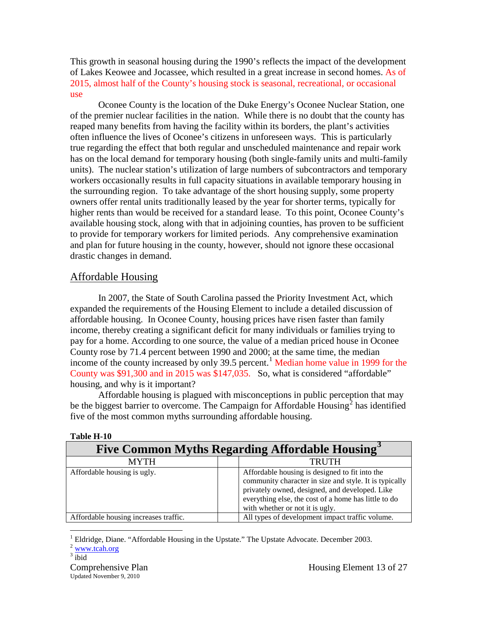This growth in seasonal housing during the 1990's reflects the impact of the development of Lakes Keowee and Jocassee, which resulted in a great increase in second homes. As of 2015, almost half of the County's housing stock is seasonal, recreational, or occasional use

Oconee County is the location of the Duke Energy's Oconee Nuclear Station, one of the premier nuclear facilities in the nation. While there is no doubt that the county has reaped many benefits from having the facility within its borders, the plant's activities often influence the lives of Oconee's citizens in unforeseen ways. This is particularly true regarding the effect that both regular and unscheduled maintenance and repair work has on the local demand for temporary housing (both single-family units and multi-family units). The nuclear station's utilization of large numbers of subcontractors and temporary workers occasionally results in full capacity situations in available temporary housing in the surrounding region. To take advantage of the short housing supply, some property owners offer rental units traditionally leased by the year for shorter terms, typically for higher rents than would be received for a standard lease. To this point, Oconee County's available housing stock, along with that in adjoining counties, has proven to be sufficient to provide for temporary workers for limited periods. Any comprehensive examination and plan for future housing in the county, however, should not ignore these occasional drastic changes in demand.

## Affordable Housing

In 2007, the State of South Carolina passed the Priority Investment Act, which expanded the requirements of the Housing Element to include a detailed discussion of affordable housing. In Oconee County, housing prices have risen faster than family income, thereby creating a significant deficit for many individuals or families trying to pay for a home. According to one source, the value of a median priced house in Oconee County rose by 71.4 percent between 1990 and 2000; at the same time, the median income of the county increased by only 39.5 percent.<sup>[1](#page-16-0)</sup> Median home value in 1999 for the County was \$91,300 and in 2015 was \$147,035. So, what is considered "affordable" housing, and why is it important?

Affordable housing is plagued with misconceptions in public perception that may be the biggest barrier to overcome. The Campaign for Affordable Housing<sup>[2](#page-16-1)</sup> has identified five of the most common myths surrounding affordable housing.

| <b>Five Common Myths Regarding Affordable Housing</b> |  |                                                                                                                                                                                                                                                       |  |  |
|-------------------------------------------------------|--|-------------------------------------------------------------------------------------------------------------------------------------------------------------------------------------------------------------------------------------------------------|--|--|
| <b>MYTH</b>                                           |  | <b>TRUTH</b>                                                                                                                                                                                                                                          |  |  |
| Affordable housing is ugly.                           |  | Affordable housing is designed to fit into the<br>community character in size and style. It is typically<br>privately owned, designed, and developed. Like<br>everything else, the cost of a home has little to do<br>with whether or not it is ugly. |  |  |
| Affordable housing increases traffic.                 |  | All types of development impact traffic volume.                                                                                                                                                                                                       |  |  |

#### **Table H-10**

<span id="page-16-1"></span><span id="page-16-0"></span> $2 \frac{www.tcah.org}{www.tcah.org}$  $2 \frac{www.tcah.org}{www.tcah.org}$  $2 \frac{www.tcah.org}{www.tcah.org}$ 

<sup>&</sup>lt;sup>1</sup> Eldridge, Diane. "Affordable Housing in the Upstate." The Upstate Advocate. December 2003.  $\overline{a}$ 

<span id="page-16-2"></span> $3$  ibid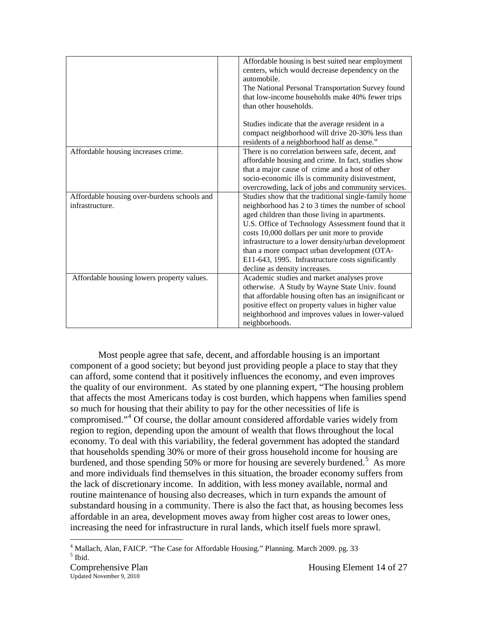|                                                                | Affordable housing is best suited near employment<br>centers, which would decrease dependency on the<br>automobile.<br>The National Personal Transportation Survey found<br>that low-income households make 40% fewer trips<br>than other households.<br>Studies indicate that the average resident in a<br>compact neighborhood will drive 20-30% less than<br>residents of a neighborhood half as dense."                                                     |
|----------------------------------------------------------------|-----------------------------------------------------------------------------------------------------------------------------------------------------------------------------------------------------------------------------------------------------------------------------------------------------------------------------------------------------------------------------------------------------------------------------------------------------------------|
| Affordable housing increases crime.                            | There is no correlation between safe, decent, and<br>affordable housing and crime. In fact, studies show<br>that a major cause of crime and a host of other<br>socio-economic ills is community disinvestment,<br>overcrowding, lack of jobs and community services.                                                                                                                                                                                            |
| Affordable housing over-burdens schools and<br>infrastructure. | Studies show that the traditional single-family home<br>neighborhood has 2 to 3 times the number of school<br>aged children than those living in apartments.<br>U.S. Office of Technology Assessment found that it<br>costs 10,000 dollars per unit more to provide<br>infrastructure to a lower density/urban development<br>than a more compact urban development (OTA-<br>E11-643, 1995. Infrastructure costs significantly<br>decline as density increases. |
| Affordable housing lowers property values.                     | Academic studies and market analyses prove<br>otherwise. A Study by Wayne State Univ. found<br>that affordable housing often has an insignificant or<br>positive effect on property values in higher value<br>neighborhood and improves values in lower-valued<br>neighborhoods.                                                                                                                                                                                |

Most people agree that safe, decent, and affordable housing is an important component of a good society; but beyond just providing people a place to stay that they can afford, some contend that it positively influences the economy, and even improves the quality of our environment. As stated by one planning expert, "The housing problem that affects the most Americans today is cost burden, which happens when families spend so much for housing that their ability to pay for the other necessities of life is compromised."[4](#page-17-0) Of course, the dollar amount considered affordable varies widely from region to region, depending upon the amount of wealth that flows throughout the local economy. To deal with this variability, the federal government has adopted the standard that households spending 30% or more of their gross household income for housing are burdened, and those spending [5](#page-17-1)0% or more for housing are severely burdened.<sup>5</sup> As more and more individuals find themselves in this situation, the broader economy suffers from the lack of discretionary income. In addition, with less money available, normal and routine maintenance of housing also decreases, which in turn expands the amount of substandard housing in a community. There is also the fact that, as housing becomes less affordable in an area, development moves away from higher cost areas to lower ones, increasing the need for infrastructure in rural lands, which itself fuels more sprawl.

<span id="page-17-1"></span><span id="page-17-0"></span><sup>&</sup>lt;sup>4</sup> Mallach, Alan, FAICP. "The Case for Affordable Housing." Planning. March 2009. pg. 33  $^5$  Ibid.  $\overline{a}$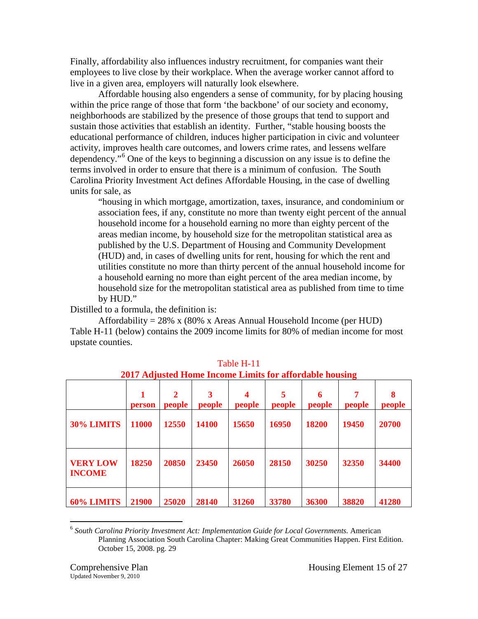Finally, affordability also influences industry recruitment, for companies want their employees to live close by their workplace. When the average worker cannot afford to live in a given area, employers will naturally look elsewhere.

Affordable housing also engenders a sense of community, for by placing housing within the price range of those that form 'the backbone' of our society and economy, neighborhoods are stabilized by the presence of those groups that tend to support and sustain those activities that establish an identity. Further, "stable housing boosts the educational performance of children, induces higher participation in civic and volunteer activity, improves health care outcomes, and lowers crime rates, and lessens welfare dependency."[6](#page-18-0) One of the keys to beginning a discussion on any issue is to define the terms involved in order to ensure that there is a minimum of confusion. The South Carolina Priority Investment Act defines Affordable Housing, in the case of dwelling units for sale, as

"housing in which mortgage, amortization, taxes, insurance, and condominium or association fees, if any, constitute no more than twenty eight percent of the annual household income for a household earning no more than eighty percent of the areas median income, by household size for the metropolitan statistical area as published by the U.S. Department of Housing and Community Development (HUD) and, in cases of dwelling units for rent, housing for which the rent and utilities constitute no more than thirty percent of the annual household income for a household earning no more than eight percent of the area median income, by household size for the metropolitan statistical area as published from time to time by HUD."

Distilled to a formula, the definition is:

Affordability =  $28\%$  x (80% x Areas Annual Household Income (per HUD) Table H-11 (below) contains the 2009 income limits for 80% of median income for most upstate counties.

|                                  | 2017 Aujustu Home meeme Linnus for anoruable housing |                        |        |        |             |             |             |             |
|----------------------------------|------------------------------------------------------|------------------------|--------|--------|-------------|-------------|-------------|-------------|
|                                  | person                                               | $\mathbf{2}$<br>people | people | people | 5<br>people | 6<br>people | 7<br>people | 8<br>people |
| 30% LIMITS                       | 11000                                                | 12550                  | 14100  | 15650  | 16950       | 18200       | 19450       | 20700       |
| <b>VERY LOW</b><br><b>INCOME</b> | 18250                                                | 20850                  | 23450  | 26050  | 28150       | 30250       | 32350       | 34400       |
| 60% LIMITS                       | 21900                                                | 25020                  | 28140  | 31260  | 33780       | 36300       | 38820       | 41280       |

| Table H-11                                              |
|---------------------------------------------------------|
| 2017 Adjusted Home Income Limits for affordable housing |

<span id="page-18-0"></span><sup>6</sup> *South Carolina Priority Investment Act: Implementation Guide for Local Governments.* American Planning Association South Carolina Chapter: Making Great Communities Happen. First Edition. October 15, 2008. pg. 29  $\overline{a}$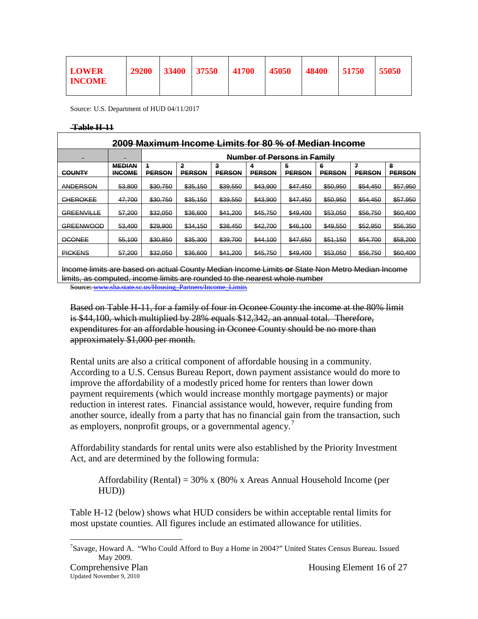| $33400$ 37550<br>41700<br>29200<br>45050<br>48400<br>151750<br>55050<br><b>LOWER</b><br><b>INCOME</b> |
|-------------------------------------------------------------------------------------------------------|
|-------------------------------------------------------------------------------------------------------|

Source: U.S. Department of HUD 04/11/2017

**Table H-11**

| 2009 Maximum Income Limits for 80 % of Median Income |                                |                                          |                    |                    |                    |                                    |                    |                    |                    |
|------------------------------------------------------|--------------------------------|------------------------------------------|--------------------|--------------------|--------------------|------------------------------------|--------------------|--------------------|--------------------|
|                                                      |                                |                                          |                    |                    |                    | <b>Number of Persons in Family</b> |                    |                    |                    |
| <b>COUNTY</b>                                        | <b>MEDIAN</b><br><b>INCOME</b> | $\overline{\mathbf{1}}$<br><b>PERSON</b> | 2<br><b>PERSON</b> | 3<br><b>PERSON</b> | 4<br><b>PERSON</b> | 5<br><b>PERSON</b>                 | 6<br><b>PERSON</b> | 7<br><b>PERSON</b> | 8<br><b>PERSON</b> |
| ANDERSON                                             | 53,800                         | \$30,750                                 | \$35,150           | \$39,550           | \$43.900           | \$47,450                           | \$50,950           | \$54,450           | \$57,950           |
| <b>CHEROKEE</b>                                      | 47.700                         | \$30,750                                 | \$35,150           | \$39,550           | \$43,900           | \$47,450                           | \$50,950           | \$54,450           | \$57,950           |
| <b>GREENVILLE</b>                                    | 57,200                         | \$32,050                                 | \$36,600           | \$41,200           | \$45,750           | \$49,400                           | \$53,050           | \$56,750           | \$60,400           |
| <b>GREENWOOD</b>                                     | 53,400                         | \$29,900                                 | \$34,150           | \$38,450           | \$42,700           | \$46,100                           | \$49,550           | \$52,950           | \$56,350           |
| OCONEE                                               | 55,100                         | \$30,850                                 | \$35,300           | \$39,700           | \$44,100           | \$47,650                           | \$51,150           | \$54,700           | \$58,200           |
| <b>PICKENS</b>                                       | 57,200                         | \$32,050                                 | \$36,600           | \$41,200           | \$45,750           | \$49,400                           | \$53,050           | \$56,750           | \$60,400           |
|                                                      |                                |                                          |                    |                    |                    |                                    |                    |                    |                    |

Income limits are based on actual County Median Income Limits **or** State Non Metro Median Income limits, as computed, income limits are rounded to the nearest whole number

www.sha.state.sc.us/Housing\_Partners/Income\_Limits

Based on Table H-11, for a family of four in Oconee County the income at the 80% limit is \$44,100, which multiplied by 28% equals \$12,342, an annual total. Therefore, expenditures for an affordable housing in Oconee County should be no more than approximately \$1,000 per month.

Rental units are also a critical component of affordable housing in a community. According to a U.S. Census Bureau Report, down payment assistance would do more to improve the affordability of a modestly priced home for renters than lower down payment requirements (which would increase monthly mortgage payments) or major reduction in interest rates. Financial assistance would, however, require funding from another source, ideally from a party that has no financial gain from the transaction, such as employers, nonprofit groups, or a governmental agency.<sup>[7](#page-19-0)</sup>

Affordability standards for rental units were also established by the Priority Investment Act, and are determined by the following formula:

Affordability (Rental) =  $30\%$  x (80% x Areas Annual Household Income (per HUD))

Table H-12 (below) shows what HUD considers be within acceptable rental limits for most upstate counties. All figures include an estimated allowance for utilities.

<span id="page-19-0"></span><sup>&</sup>lt;sup>7</sup>Savage, Howard A. "Who Could Afford to Buy a Home in 2004?" United States Census Bureau. Issued May 2009.  $\overline{a}$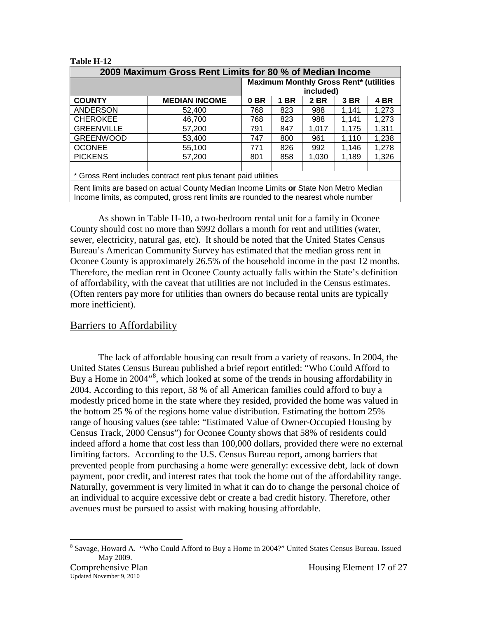| 2009 Maximum Gross Rent Limits for 80 % of Median Income       |                                                                                                                                                                                |                 |      |           |                                               |       |  |
|----------------------------------------------------------------|--------------------------------------------------------------------------------------------------------------------------------------------------------------------------------|-----------------|------|-----------|-----------------------------------------------|-------|--|
|                                                                |                                                                                                                                                                                |                 |      |           | <b>Maximum Monthly Gross Rent* (utilities</b> |       |  |
|                                                                |                                                                                                                                                                                |                 |      | included) |                                               |       |  |
| <b>COUNTY</b>                                                  | <b>MEDIAN INCOME</b>                                                                                                                                                           | 0 <sub>BR</sub> | 1 BR | 2 BR      | 3 BR                                          | 4 BR  |  |
| <b>ANDERSON</b>                                                | 52.400                                                                                                                                                                         | 768             | 823  | 988       | 1,141                                         | 1,273 |  |
| <b>CHEROKEE</b>                                                | 46,700                                                                                                                                                                         | 768             | 823  | 988       | 1,141                                         | 1,273 |  |
| <b>GREENVILLE</b>                                              | 57,200                                                                                                                                                                         | 791             | 847  | 1,017     | 1.175                                         | 1,311 |  |
| <b>GREENWOOD</b>                                               | 53,400                                                                                                                                                                         | 747             | 800  | 961       | 1,110                                         | 1,238 |  |
| <b>OCONEE</b>                                                  | 55,100                                                                                                                                                                         | 771             | 826  | 992       | 1.146                                         | 1,278 |  |
| <b>PICKENS</b>                                                 | 57,200                                                                                                                                                                         | 801             | 858  | 1,030     | 1,189                                         | 1,326 |  |
|                                                                |                                                                                                                                                                                |                 |      |           |                                               |       |  |
| * Gross Rent includes contract rent plus tenant paid utilities |                                                                                                                                                                                |                 |      |           |                                               |       |  |
|                                                                | Rent limits are based on actual County Median Income Limits or State Non Metro Median<br>Income limits, as computed, gross rent limits are rounded to the nearest whole number |                 |      |           |                                               |       |  |

As shown in Table H-10, a two-bedroom rental unit for a family in Oconee County should cost no more than \$992 dollars a month for rent and utilities (water, sewer, electricity, natural gas, etc). It should be noted that the United States Census Bureau's American Community Survey has estimated that the median gross rent in Oconee County is approximately 26.5% of the household income in the past 12 months. Therefore, the median rent in Oconee County actually falls within the State's definition of affordability, with the caveat that utilities are not included in the Census estimates. (Often renters pay more for utilities than owners do because rental units are typically more inefficient).

## Barriers to Affordability

**Table H-12**

The lack of affordable housing can result from a variety of reasons. In 2004, the United States Census Bureau published a brief report entitled: "Who Could Afford to Buy a Home in 2004"<sup>[8](#page-20-0)</sup>, which looked at some of the trends in housing affordability in 2004. According to this report, 58 % of all American families could afford to buy a modestly priced home in the state where they resided, provided the home was valued in the bottom 25 % of the regions home value distribution. Estimating the bottom 25% range of housing values (see table: "Estimated Value of Owner-Occupied Housing by Census Track, 2000 Census") for Oconee County shows that 58% of residents could indeed afford a home that cost less than 100,000 dollars, provided there were no external limiting factors. According to the U.S. Census Bureau report, among barriers that prevented people from purchasing a home were generally: excessive debt, lack of down payment, poor credit, and interest rates that took the home out of the affordability range. Naturally, government is very limited in what it can do to change the personal choice of an individual to acquire excessive debt or create a bad credit history. Therefore, other avenues must be pursued to assist with making housing affordable.

<span id="page-20-0"></span> $8$  Savage, Howard A. "Who Could Afford to Buy a Home in 2004?" United States Census Bureau. Issued May 2009.  $\overline{a}$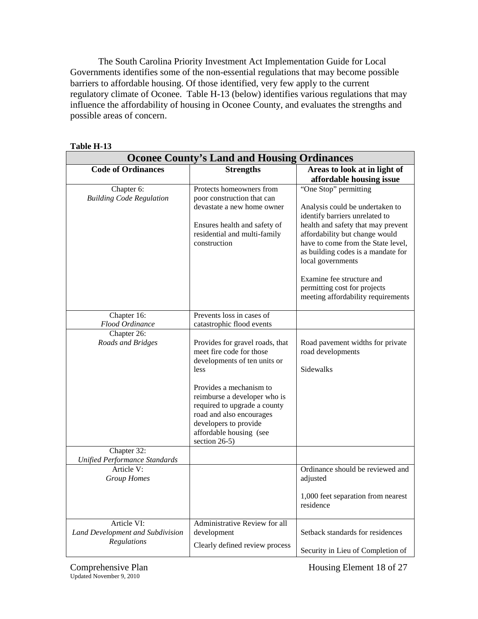The South Carolina Priority Investment Act Implementation Guide for Local Governments identifies some of the non-essential regulations that may become possible barriers to affordable housing. Of those identified, very few apply to the current regulatory climate of Oconee. Table H-13 (below) identifies various regulations that may influence the affordability of housing in Oconee County, and evaluates the strengths and possible areas of concern.

| <b>Oconee County's Land and Housing Ordinances</b>  |                                                                                                                                                                                                                                                            |                                                                                                                                                                                                                                                                                                                                                                        |  |  |  |  |
|-----------------------------------------------------|------------------------------------------------------------------------------------------------------------------------------------------------------------------------------------------------------------------------------------------------------------|------------------------------------------------------------------------------------------------------------------------------------------------------------------------------------------------------------------------------------------------------------------------------------------------------------------------------------------------------------------------|--|--|--|--|
| <b>Code of Ordinances</b>                           | <b>Strengths</b>                                                                                                                                                                                                                                           | Areas to look at in light of<br>affordable housing issue                                                                                                                                                                                                                                                                                                               |  |  |  |  |
| Chapter 6:<br><b>Building Code Regulation</b>       | Protects homeowners from<br>poor construction that can<br>devastate a new home owner<br>Ensures health and safety of<br>residential and multi-family<br>construction                                                                                       | "One Stop" permitting<br>Analysis could be undertaken to<br>identify barriers unrelated to<br>health and safety that may prevent<br>affordability but change would<br>have to come from the State level,<br>as building codes is a mandate for<br>local governments<br>Examine fee structure and<br>permitting cost for projects<br>meeting affordability requirements |  |  |  |  |
| Chapter 16:<br>Flood Ordinance                      | Prevents loss in cases of<br>catastrophic flood events                                                                                                                                                                                                     |                                                                                                                                                                                                                                                                                                                                                                        |  |  |  |  |
| Chapter 26:<br>Roads and Bridges                    | Provides for gravel roads, that<br>meet fire code for those<br>developments of ten units or<br><i>less</i><br>Provides a mechanism to<br>reimburse a developer who is<br>required to upgrade a county<br>road and also encourages<br>developers to provide | Road pavement widths for private<br>road developments<br><b>Sidewalks</b>                                                                                                                                                                                                                                                                                              |  |  |  |  |
|                                                     | affordable housing (see<br>section 26-5)                                                                                                                                                                                                                   |                                                                                                                                                                                                                                                                                                                                                                        |  |  |  |  |
| Chapter 32:<br><b>Unified Performance Standards</b> |                                                                                                                                                                                                                                                            |                                                                                                                                                                                                                                                                                                                                                                        |  |  |  |  |
| Article V:<br><b>Group Homes</b>                    |                                                                                                                                                                                                                                                            | Ordinance should be reviewed and<br>adjusted                                                                                                                                                                                                                                                                                                                           |  |  |  |  |
|                                                     |                                                                                                                                                                                                                                                            | 1,000 feet separation from nearest<br>residence                                                                                                                                                                                                                                                                                                                        |  |  |  |  |
| Article VI:<br>Land Development and Subdivision     | Administrative Review for all<br>development                                                                                                                                                                                                               | Setback standards for residences                                                                                                                                                                                                                                                                                                                                       |  |  |  |  |
| Regulations                                         | Clearly defined review process                                                                                                                                                                                                                             | Security in Lieu of Completion of                                                                                                                                                                                                                                                                                                                                      |  |  |  |  |

## **Table H-13**

Comprehensive Plan Housing Element 18 of 27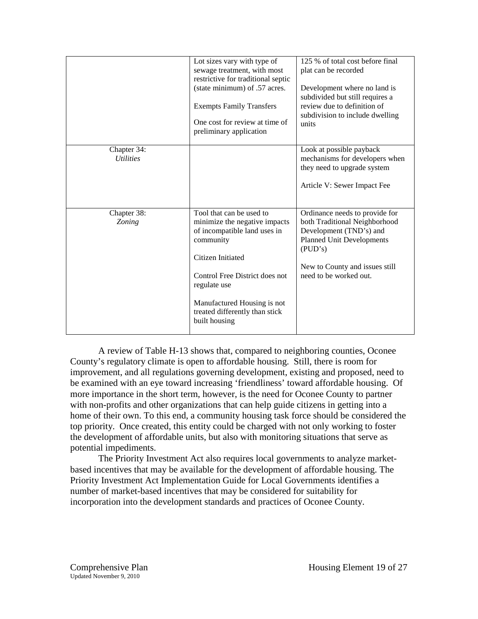|                                               | Lot sizes vary with type of<br>sewage treatment, with most                                             | 125 % of total cost before final<br>plat can be recorded                                                                                  |
|-----------------------------------------------|--------------------------------------------------------------------------------------------------------|-------------------------------------------------------------------------------------------------------------------------------------------|
|                                               | restrictive for traditional septic<br>(state minimum) of .57 acres.                                    | Development where no land is<br>subdivided but still requires a                                                                           |
|                                               | <b>Exempts Family Transfers</b>                                                                        | review due to definition of<br>subdivision to include dwelling                                                                            |
|                                               | One cost for review at time of<br>preliminary application                                              | units                                                                                                                                     |
| Chapter 34:<br><i><u><b>Utilities</b></u></i> |                                                                                                        | Look at possible payback<br>mechanisms for developers when<br>they need to upgrade system<br>Article V: Sewer Impact Fee                  |
|                                               |                                                                                                        |                                                                                                                                           |
| Chapter 38:<br>Zoning                         | Tool that can be used to<br>minimize the negative impacts<br>of incompatible land uses in<br>community | Ordinance needs to provide for<br>both Traditional Neighborhood<br>Development (TND's) and<br><b>Planned Unit Developments</b><br>(PID's) |
|                                               | Citizen Initiated<br>Control Free District does not<br>regulate use                                    | New to County and issues still<br>need to be worked out.                                                                                  |
|                                               | Manufactured Housing is not<br>treated differently than stick<br>built housing                         |                                                                                                                                           |

A review of Table H-13 shows that, compared to neighboring counties, Oconee County's regulatory climate is open to affordable housing. Still, there is room for improvement, and all regulations governing development, existing and proposed, need to be examined with an eye toward increasing 'friendliness' toward affordable housing. Of more importance in the short term, however, is the need for Oconee County to partner with non-profits and other organizations that can help guide citizens in getting into a home of their own. To this end, a community housing task force should be considered the top priority. Once created, this entity could be charged with not only working to foster the development of affordable units, but also with monitoring situations that serve as potential impediments.

The Priority Investment Act also requires local governments to analyze marketbased incentives that may be available for the development of affordable housing. The Priority Investment Act Implementation Guide for Local Governments identifies a number of market-based incentives that may be considered for suitability for incorporation into the development standards and practices of Oconee County.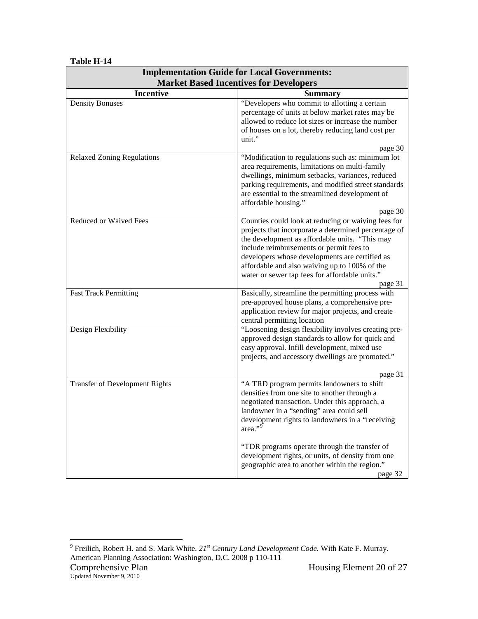|                                       | <b>Implementation Guide for Local Governments:</b>   |
|---------------------------------------|------------------------------------------------------|
|                                       | <b>Market Based Incentives for Developers</b>        |
| <b>Incentive</b>                      | <b>Summary</b>                                       |
| <b>Density Bonuses</b>                | "Developers who commit to allotting a certain        |
|                                       | percentage of units at below market rates may be     |
|                                       | allowed to reduce lot sizes or increase the number   |
|                                       | of houses on a lot, thereby reducing land cost per   |
|                                       | $unit.$ "                                            |
|                                       | page 30                                              |
| <b>Relaxed Zoning Regulations</b>     | "Modification to regulations such as: minimum lot    |
|                                       | area requirements, limitations on multi-family       |
|                                       | dwellings, minimum setbacks, variances, reduced      |
|                                       | parking requirements, and modified street standards  |
|                                       | are essential to the streamlined development of      |
|                                       | affordable housing."                                 |
|                                       | page 30                                              |
| <b>Reduced or Waived Fees</b>         | Counties could look at reducing or waiving fees for  |
|                                       | projects that incorporate a determined percentage of |
|                                       | the development as affordable units. "This may       |
|                                       | include reimbursements or permit fees to             |
|                                       | developers whose developments are certified as       |
|                                       | affordable and also waiving up to 100% of the        |
|                                       | water or sewer tap fees for affordable units."       |
|                                       | page 31                                              |
| <b>Fast Track Permitting</b>          | Basically, streamline the permitting process with    |
|                                       | pre-approved house plans, a comprehensive pre-       |
|                                       | application review for major projects, and create    |
|                                       | central permitting location                          |
| Design Flexibility                    | "Loosening design flexibility involves creating pre- |
|                                       | approved design standards to allow for quick and     |
|                                       | easy approval. Infill development, mixed use         |
|                                       | projects, and accessory dwellings are promoted."     |
|                                       |                                                      |
|                                       | page 31                                              |
| <b>Transfer of Development Rights</b> | "A TRD program permits landowners to shift           |
|                                       | densities from one site to another through a         |
|                                       | negotiated transaction. Under this approach, a       |
|                                       | landowner in a "sending" area could sell             |
|                                       | development rights to landowners in a "receiving     |
|                                       | area."9                                              |
|                                       | "TDR programs operate through the transfer of        |
|                                       | development rights, or units, of density from one    |
|                                       | geographic area to another within the region."       |

#### **Table H-14**

Ï

page 32

<span id="page-23-0"></span><sup>9</sup> Freilich, Robert H. and S. Mark White. *21st Century Land Development Code.* With Kate F. Murray. American Planning Association: Washington, D.C. 2008 p 110-111 Comprehensive Plan Housing Element 20 of 27  $\overline{a}$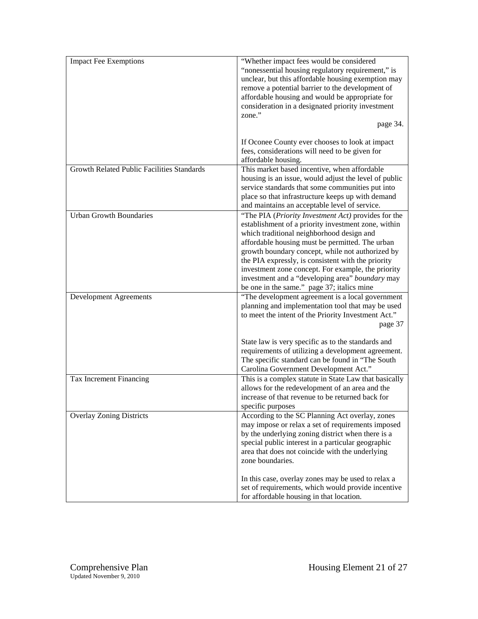| <b>Impact Fee Exemptions</b>                      | "Whether impact fees would be considered                                                                 |
|---------------------------------------------------|----------------------------------------------------------------------------------------------------------|
|                                                   | "nonessential housing regulatory requirement," is                                                        |
|                                                   | unclear, but this affordable housing exemption may                                                       |
|                                                   | remove a potential barrier to the development of                                                         |
|                                                   | affordable housing and would be appropriate for                                                          |
|                                                   |                                                                                                          |
|                                                   | consideration in a designated priority investment                                                        |
|                                                   | zone."                                                                                                   |
|                                                   | page 34.                                                                                                 |
|                                                   | If Oconee County ever chooses to look at impact                                                          |
|                                                   | fees, considerations will need to be given for                                                           |
|                                                   | affordable housing.                                                                                      |
| <b>Growth Related Public Facilities Standards</b> | This market based incentive, when affordable                                                             |
|                                                   | housing is an issue, would adjust the level of public                                                    |
|                                                   | service standards that some communities put into                                                         |
|                                                   | place so that infrastructure keeps up with demand                                                        |
|                                                   | and maintains an acceptable level of service.                                                            |
| <b>Urban Growth Boundaries</b>                    | "The PIA (Priority Investment Act) provides for the                                                      |
|                                                   | establishment of a priority investment zone, within                                                      |
|                                                   | which traditional neighborhood design and                                                                |
|                                                   | affordable housing must be permitted. The urban                                                          |
|                                                   | growth boundary concept, while not authorized by                                                         |
|                                                   | the PIA expressly, is consistent with the priority                                                       |
|                                                   | investment zone concept. For example, the priority                                                       |
|                                                   | investment and a "developing area" boundary may                                                          |
|                                                   | be one in the same." page 37; italics mine                                                               |
| Development Agreements                            | "The development agreement is a local government                                                         |
|                                                   | planning and implementation tool that may be used                                                        |
|                                                   | to meet the intent of the Priority Investment Act."                                                      |
|                                                   | page 37                                                                                                  |
|                                                   |                                                                                                          |
|                                                   | State law is very specific as to the standards and                                                       |
|                                                   | requirements of utilizing a development agreement.                                                       |
|                                                   | The specific standard can be found in "The South                                                         |
|                                                   | Carolina Government Development Act."                                                                    |
| Tax Increment Financing                           | This is a complex statute in State Law that basically                                                    |
|                                                   | allows for the redevelopment of an area and the                                                          |
|                                                   | increase of that revenue to be returned back for                                                         |
|                                                   | specific purposes                                                                                        |
| <b>Overlay Zoning Districts</b>                   | According to the SC Planning Act overlay, zones                                                          |
|                                                   | may impose or relax a set of requirements imposed                                                        |
|                                                   | by the underlying zoning district when there is a                                                        |
|                                                   | special public interest in a particular geographic                                                       |
|                                                   |                                                                                                          |
|                                                   | area that does not coincide with the underlying                                                          |
|                                                   | zone boundaries.                                                                                         |
|                                                   |                                                                                                          |
|                                                   | In this case, overlay zones may be used to relax a<br>set of requirements, which would provide incentive |
|                                                   | for affordable housing in that location.                                                                 |
|                                                   |                                                                                                          |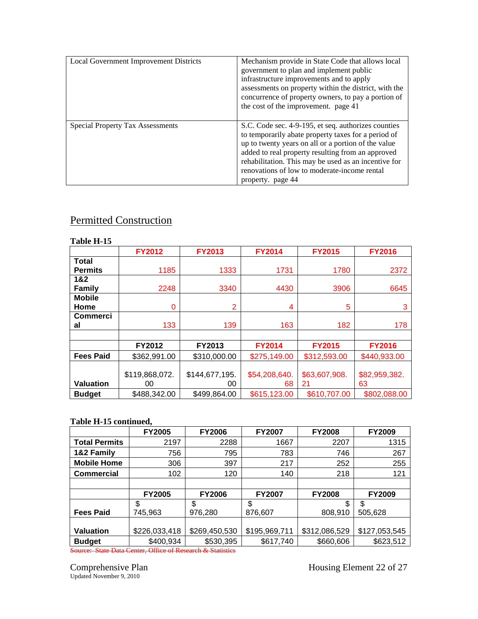| Local Government Improvement Districts | Mechanism provide in State Code that allows local<br>government to plan and implement public<br>infrastructure improvements and to apply<br>assessments on property within the district, with the<br>concurrence of property owners, to pay a portion of<br>the cost of the improvement. page 41                                                    |
|----------------------------------------|-----------------------------------------------------------------------------------------------------------------------------------------------------------------------------------------------------------------------------------------------------------------------------------------------------------------------------------------------------|
| Special Property Tax Assessments       | S.C. Code sec. 4-9-195, et seq. authorizes counties<br>to temporarily abate property taxes for a period of<br>up to twenty years on all or a portion of the value<br>added to real property resulting from an approved<br>rehabilitation. This may be used as an incentive for<br>renovations of low to moderate-income rental<br>property. page 44 |

# Permitted Construction

| 1 avit 11-19     |                |                |               |               |               |  |
|------------------|----------------|----------------|---------------|---------------|---------------|--|
|                  | <b>FY2012</b>  | <b>FY2013</b>  | <b>FY2014</b> | <b>FY2015</b> | <b>FY2016</b> |  |
| Total            |                |                |               |               |               |  |
| <b>Permits</b>   | 1185           | 1333           | 1731          | 1780          | 2372          |  |
| 1&2              |                |                |               |               |               |  |
| Family           | 2248           | 3340           | 4430          | 3906          | 6645          |  |
| <b>Mobile</b>    |                |                |               |               |               |  |
| Home             | 0              | $\overline{2}$ | 4             | 5             | 3             |  |
| <b>Commerci</b>  |                |                |               |               |               |  |
| al               | 133            | 139            | 163           | 182           | 178           |  |
|                  |                |                |               |               |               |  |
|                  | FY2012         | FY2013         | <b>FY2014</b> | <b>FY2015</b> | <b>FY2016</b> |  |
| <b>Fees Paid</b> | \$362,991.00   | \$310,000.00   | \$275,149.00  | \$312,593.00  | \$440,933.00  |  |
|                  |                |                |               |               |               |  |
|                  | \$119,868,072. | \$144,677,195. | \$54,208,640. | \$63,607,908. | \$82,959,382. |  |
| <b>Valuation</b> | 00             | 00             | 68            | 21            | 63            |  |
| <b>Budget</b>    | \$488,342.00   | \$499,864.00   | \$615,123.00  | \$610,707.00  | \$802,088.00  |  |

## **Table H-15**

## **Table H-15 continued,**

|                      | <b>FY2005</b> | <b>FY2006</b> | <b>FY2007</b> | <b>FY2008</b> | <b>FY2009</b> |
|----------------------|---------------|---------------|---------------|---------------|---------------|
| <b>Total Permits</b> | 2197          | 2288          | 1667          | 2207          | 1315          |
| 1&2 Family           | 756           | 795           | 783           | 746           | 267           |
| <b>Mobile Home</b>   | 306           | 397           | 217           | 252           | 255           |
| <b>Commercial</b>    | 102           | 120           | 140           | 218           | 121           |
|                      |               |               |               |               |               |
|                      | <b>FY2005</b> | <b>FY2006</b> | <b>FY2007</b> | <b>FY2008</b> | <b>FY2009</b> |
|                      | \$            | \$            | \$            | \$            |               |
| <b>Fees Paid</b>     | 745,963       | 976,280       | 876,607       | 808,910       | 505,628       |
|                      |               |               |               |               |               |
| <b>Valuation</b>     | \$226,033,418 | \$269,450,530 | \$195,969,711 | \$312,086,529 | \$127,053,545 |
| <b>Budget</b>        | \$400,934     | \$530,395     | \$617,740     | \$660,606     | \$623,512     |

Source: State Data Center, Office of Research & Statistics

Housing Element 22 of 27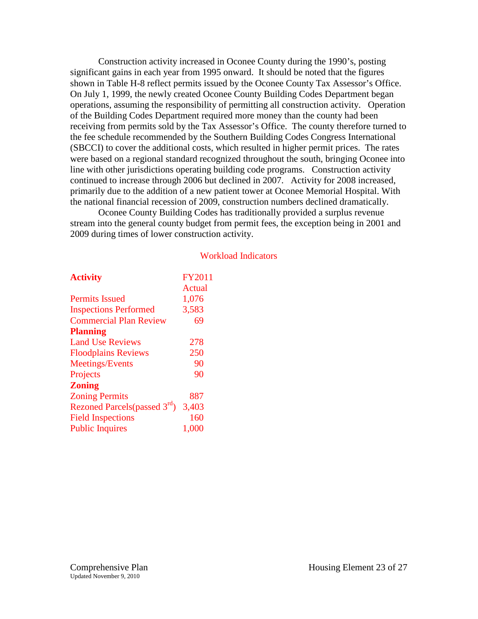Construction activity increased in Oconee County during the 1990's, posting significant gains in each year from 1995 onward. It should be noted that the figures shown in Table H-8 reflect permits issued by the Oconee County Tax Assessor's Office. On July 1, 1999, the newly created Oconee County Building Codes Department began operations, assuming the responsibility of permitting all construction activity. Operation of the Building Codes Department required more money than the county had been receiving from permits sold by the Tax Assessor's Office. The county therefore turned to the fee schedule recommended by the Southern Building Codes Congress International (SBCCI) to cover the additional costs, which resulted in higher permit prices. The rates were based on a regional standard recognized throughout the south, bringing Oconee into line with other jurisdictions operating building code programs. Construction activity continued to increase through 2006 but declined in 2007. Activity for 2008 increased, primarily due to the addition of a new patient tower at Oconee Memorial Hospital. With the national financial recession of 2009, construction numbers declined dramatically.

Oconee County Building Codes has traditionally provided a surplus revenue stream into the general county budget from permit fees, the exception being in 2001 and 2009 during times of lower construction activity.

|  | <b>Workload Indicators</b> |
|--|----------------------------|
|  |                            |

| <b>Activity</b>               | <b>FY2011</b> |
|-------------------------------|---------------|
|                               | Actual        |
| <b>Permits Issued</b>         | 1,076         |
| <b>Inspections Performed</b>  | 3,583         |
| <b>Commercial Plan Review</b> | 69            |
| <b>Planning</b>               |               |
| <b>Land Use Reviews</b>       | 278           |
| <b>Floodplains Reviews</b>    | 250           |
| Meetings/Events               | 90            |
| Projects                      | 90            |
| <b>Zoning</b>                 |               |
| <b>Zoning Permits</b>         | 887           |
| Rezoned Parcels(passed 3rd)   | 3,403         |
| <b>Field Inspections</b>      | 160           |
| <b>Public Inquires</b>        | 1,000         |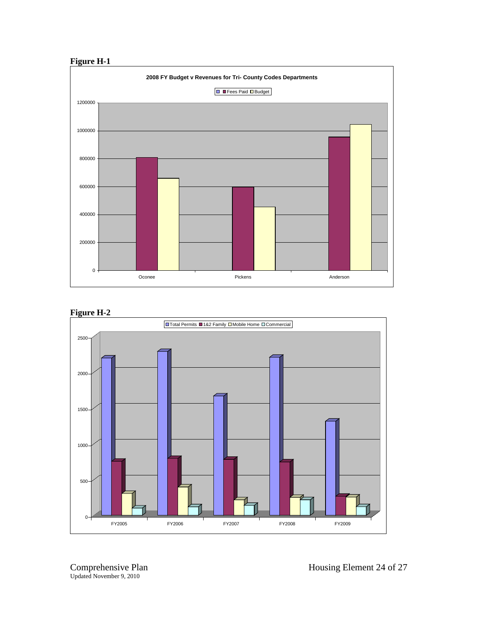





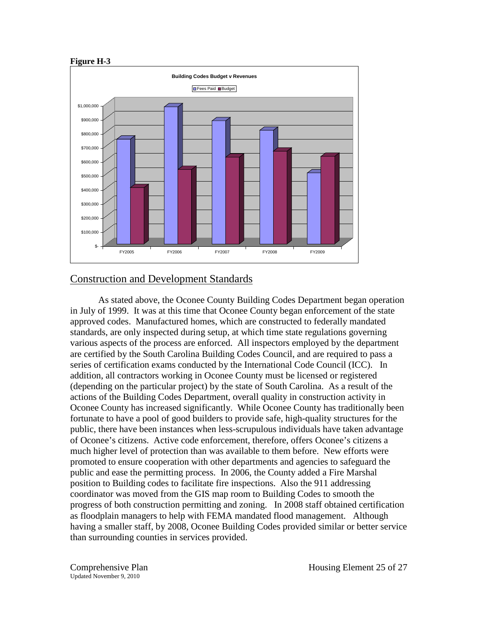



## Construction and Development Standards

As stated above, the Oconee County Building Codes Department began operation in July of 1999. It was at this time that Oconee County began enforcement of the state approved codes. Manufactured homes, which are constructed to federally mandated standards, are only inspected during setup, at which time state regulations governing various aspects of the process are enforced. All inspectors employed by the department are certified by the South Carolina Building Codes Council, and are required to pass a series of certification exams conducted by the International Code Council (ICC). In addition, all contractors working in Oconee County must be licensed or registered (depending on the particular project) by the state of South Carolina. As a result of the actions of the Building Codes Department, overall quality in construction activity in Oconee County has increased significantly. While Oconee County has traditionally been fortunate to have a pool of good builders to provide safe, high-quality structures for the public, there have been instances when less-scrupulous individuals have taken advantage of Oconee's citizens. Active code enforcement, therefore, offers Oconee's citizens a much higher level of protection than was available to them before. New efforts were promoted to ensure cooperation with other departments and agencies to safeguard the public and ease the permitting process. In 2006, the County added a Fire Marshal position to Building codes to facilitate fire inspections. Also the 911 addressing coordinator was moved from the GIS map room to Building Codes to smooth the progress of both construction permitting and zoning. In 2008 staff obtained certification as floodplain managers to help with FEMA mandated flood management. Although having a smaller staff, by 2008, Oconee Building Codes provided similar or better service than surrounding counties in services provided.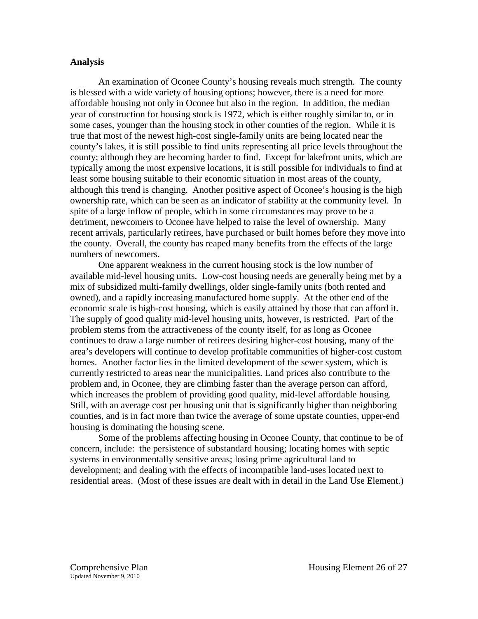#### **Analysis**

An examination of Oconee County's housing reveals much strength. The county is blessed with a wide variety of housing options; however, there is a need for more affordable housing not only in Oconee but also in the region. In addition, the median year of construction for housing stock is 1972, which is either roughly similar to, or in some cases, younger than the housing stock in other counties of the region. While it is true that most of the newest high-cost single-family units are being located near the county's lakes, it is still possible to find units representing all price levels throughout the county; although they are becoming harder to find. Except for lakefront units, which are typically among the most expensive locations, it is still possible for individuals to find at least some housing suitable to their economic situation in most areas of the county, although this trend is changing. Another positive aspect of Oconee's housing is the high ownership rate, which can be seen as an indicator of stability at the community level. In spite of a large inflow of people, which in some circumstances may prove to be a detriment, newcomers to Oconee have helped to raise the level of ownership. Many recent arrivals, particularly retirees, have purchased or built homes before they move into the county. Overall, the county has reaped many benefits from the effects of the large numbers of newcomers.

One apparent weakness in the current housing stock is the low number of available mid-level housing units. Low-cost housing needs are generally being met by a mix of subsidized multi-family dwellings, older single-family units (both rented and owned), and a rapidly increasing manufactured home supply. At the other end of the economic scale is high-cost housing, which is easily attained by those that can afford it. The supply of good quality mid-level housing units, however, is restricted. Part of the problem stems from the attractiveness of the county itself, for as long as Oconee continues to draw a large number of retirees desiring higher-cost housing, many of the area's developers will continue to develop profitable communities of higher-cost custom homes. Another factor lies in the limited development of the sewer system, which is currently restricted to areas near the municipalities. Land prices also contribute to the problem and, in Oconee, they are climbing faster than the average person can afford, which increases the problem of providing good quality, mid-level affordable housing. Still, with an average cost per housing unit that is significantly higher than neighboring counties, and is in fact more than twice the average of some upstate counties, upper-end housing is dominating the housing scene.

Some of the problems affecting housing in Oconee County, that continue to be of concern, include: the persistence of substandard housing; locating homes with septic systems in environmentally sensitive areas; losing prime agricultural land to development; and dealing with the effects of incompatible land-uses located next to residential areas. (Most of these issues are dealt with in detail in the Land Use Element.)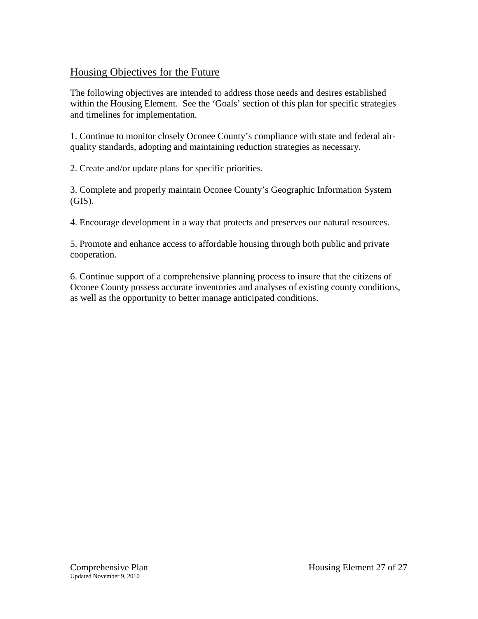## Housing Objectives for the Future

The following objectives are intended to address those needs and desires established within the Housing Element. See the 'Goals' section of this plan for specific strategies and timelines for implementation.

1. Continue to monitor closely Oconee County's compliance with state and federal airquality standards, adopting and maintaining reduction strategies as necessary.

2. Create and/or update plans for specific priorities.

3. Complete and properly maintain Oconee County's Geographic Information System (GIS).

4. Encourage development in a way that protects and preserves our natural resources.

5. Promote and enhance access to affordable housing through both public and private cooperation.

6. Continue support of a comprehensive planning process to insure that the citizens of Oconee County possess accurate inventories and analyses of existing county conditions, as well as the opportunity to better manage anticipated conditions.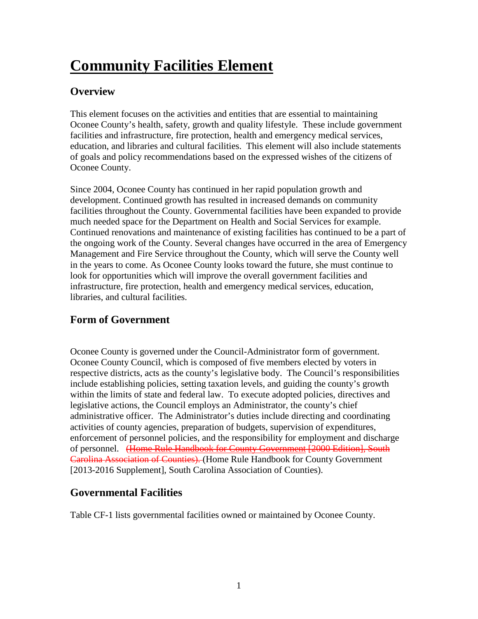# **Community Facilities Element**

## **Overview**

This element focuses on the activities and entities that are essential to maintaining Oconee County's health, safety, growth and quality lifestyle. These include government facilities and infrastructure, fire protection, health and emergency medical services, education, and libraries and cultural facilities. This element will also include statements of goals and policy recommendations based on the expressed wishes of the citizens of Oconee County.

Since 2004, Oconee County has continued in her rapid population growth and development. Continued growth has resulted in increased demands on community facilities throughout the County. Governmental facilities have been expanded to provide much needed space for the Department on Health and Social Services for example. Continued renovations and maintenance of existing facilities has continued to be a part of the ongoing work of the County. Several changes have occurred in the area of Emergency Management and Fire Service throughout the County, which will serve the County well in the years to come. As Oconee County looks toward the future, she must continue to look for opportunities which will improve the overall government facilities and infrastructure, fire protection, health and emergency medical services, education, libraries, and cultural facilities.

# **Form of Government**

Oconee County is governed under the Council-Administrator form of government. Oconee County Council, which is composed of five members elected by voters in respective districts, acts as the county's legislative body. The Council's responsibilities include establishing policies, setting taxation levels, and guiding the county's growth within the limits of state and federal law. To execute adopted policies, directives and legislative actions, the Council employs an Administrator, the county's chief administrative officer. The Administrator's duties include directing and coordinating activities of county agencies, preparation of budgets, supervision of expenditures, enforcement of personnel policies, and the responsibility for employment and discharge of personnel.(Home Rule Handbook for County Government [2000 Edition], South Carolina Association of Counties). (Home Rule Handbook for County Government [2013-2016 Supplement], South Carolina Association of Counties).

## **Governmental Facilities**

Table CF-1 lists governmental facilities owned or maintained by Oconee County.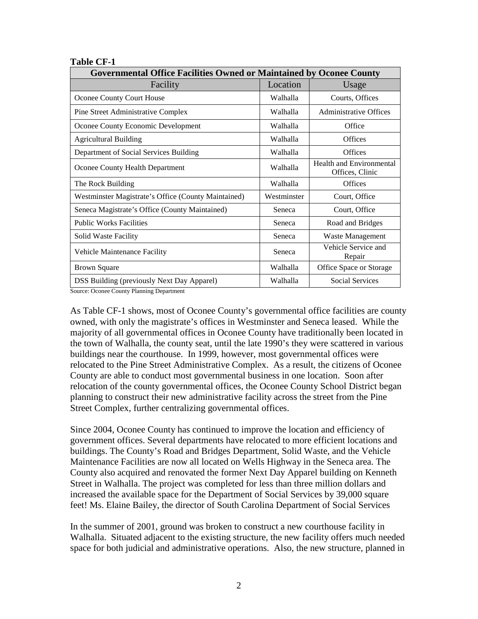| <b>Governmental Office Facilities Owned or Maintained by Oconee County</b> |             |                                                    |  |  |  |  |
|----------------------------------------------------------------------------|-------------|----------------------------------------------------|--|--|--|--|
| Facility                                                                   | Location    | Usage                                              |  |  |  |  |
| Oconee County Court House                                                  | Walhalla    | Courts, Offices                                    |  |  |  |  |
| Pine Street Administrative Complex                                         | Walhalla    | <b>Administrative Offices</b>                      |  |  |  |  |
| Oconee County Economic Development                                         | Walhalla    | Office                                             |  |  |  |  |
| <b>Agricultural Building</b>                                               | Walhalla    | <b>Offices</b>                                     |  |  |  |  |
| Department of Social Services Building                                     | Walhalla    | Offices                                            |  |  |  |  |
| Oconee County Health Department                                            | Walhalla    | <b>Health and Environmental</b><br>Offices, Clinic |  |  |  |  |
| The Rock Building                                                          | Walhalla    | <b>Offices</b>                                     |  |  |  |  |
| Westminster Magistrate's Office (County Maintained)                        | Westminster | Court, Office                                      |  |  |  |  |
| Seneca Magistrate's Office (County Maintained)                             | Seneca      | Court, Office                                      |  |  |  |  |
| <b>Public Works Facilities</b>                                             | Seneca      | Road and Bridges                                   |  |  |  |  |
| Solid Waste Facility                                                       | Seneca      | Waste Management                                   |  |  |  |  |
| Vehicle Maintenance Facility                                               | Seneca      | Vehicle Service and<br>Repair                      |  |  |  |  |
| <b>Brown Square</b>                                                        | Walhalla    | Office Space or Storage                            |  |  |  |  |
| DSS Building (previously Next Day Apparel)                                 | Walhalla    | <b>Social Services</b>                             |  |  |  |  |

#### **Table CF-1**

Source: Oconee County Planning Department

As Table CF-1 shows, most of Oconee County's governmental office facilities are county owned, with only the magistrate's offices in Westminster and Seneca leased. While the majority of all governmental offices in Oconee County have traditionally been located in the town of Walhalla, the county seat, until the late 1990's they were scattered in various buildings near the courthouse. In 1999, however, most governmental offices were relocated to the Pine Street Administrative Complex. As a result, the citizens of Oconee County are able to conduct most governmental business in one location. Soon after relocation of the county governmental offices, the Oconee County School District began planning to construct their new administrative facility across the street from the Pine Street Complex, further centralizing governmental offices.

Since 2004, Oconee County has continued to improve the location and efficiency of government offices. Several departments have relocated to more efficient locations and buildings. The County's Road and Bridges Department, Solid Waste, and the Vehicle Maintenance Facilities are now all located on Wells Highway in the Seneca area. The County also acquired and renovated the former Next Day Apparel building on Kenneth Street in Walhalla. The project was completed for less than three million dollars and increased the available space for the Department of Social Services by 39,000 square feet! Ms. Elaine Bailey, the director of South Carolina Department of Social Services

In the summer of 2001, ground was broken to construct a new courthouse facility in Walhalla. Situated adjacent to the existing structure, the new facility offers much needed space for both judicial and administrative operations. Also, the new structure, planned in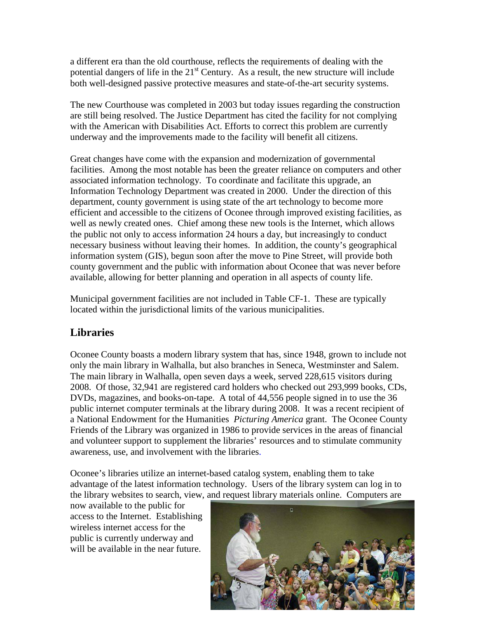a different era than the old courthouse, reflects the requirements of dealing with the potential dangers of life in the  $21<sup>st</sup>$  Century. As a result, the new structure will include both well-designed passive protective measures and state-of-the-art security systems.

The new Courthouse was completed in 2003 but today issues regarding the construction are still being resolved. The Justice Department has cited the facility for not complying with the American with Disabilities Act. Efforts to correct this problem are currently underway and the improvements made to the facility will benefit all citizens.

Great changes have come with the expansion and modernization of governmental facilities. Among the most notable has been the greater reliance on computers and other associated information technology. To coordinate and facilitate this upgrade, an Information Technology Department was created in 2000. Under the direction of this department, county government is using state of the art technology to become more efficient and accessible to the citizens of Oconee through improved existing facilities, as well as newly created ones. Chief among these new tools is the Internet, which allows the public not only to access information 24 hours a day, but increasingly to conduct necessary business without leaving their homes. In addition, the county's geographical information system (GIS), begun soon after the move to Pine Street, will provide both county government and the public with information about Oconee that was never before available, allowing for better planning and operation in all aspects of county life.

Municipal government facilities are not included in Table CF-1. These are typically located within the jurisdictional limits of the various municipalities.

# **Libraries**

Oconee County boasts a modern library system that has, since 1948, grown to include not only the main library in Walhalla, but also branches in Seneca, Westminster and Salem. The main library in Walhalla, open seven days a week, served 228,615 visitors during 2008. Of those, 32,941 are registered card holders who checked out 293,999 books, CDs, DVDs, magazines, and books-on-tape. A total of 44,556 people signed in to use the 36 public internet computer terminals at the library during 2008. It was a recent recipient of a National Endowment for the Humanities *Picturing America* grant. The Oconee County Friends of the Library was organized in 1986 to provide services in the areas of financial and volunteer support to supplement the libraries' resources and to stimulate community awareness, use, and involvement with the libraries.

Oconee's libraries utilize an internet-based catalog system, enabling them to take advantage of the latest information technology. Users of the library system can log in to the library websites to search, view, and request library materials online. Computers are

now available to the public for access to the Internet. Establishing wireless internet access for the public is currently underway and will be available in the near future.

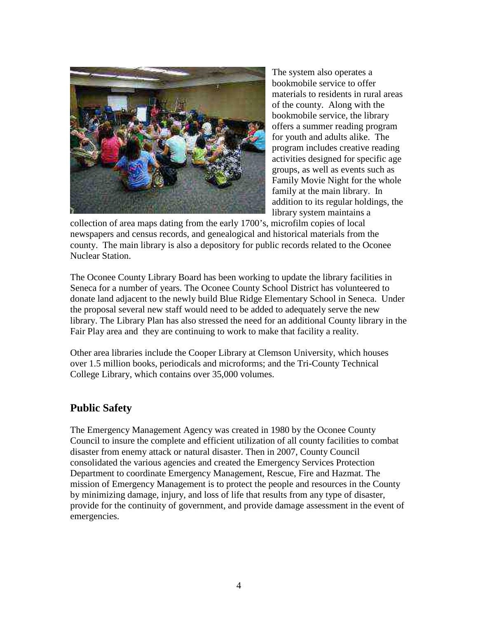

The system also operates a bookmobile service to offer materials to residents in rural areas of the county. Along with the bookmobile service, the library offers a summer reading program for youth and adults alike. The program includes creative reading activities designed for specific age groups, as well as events such as Family Movie Night for the whole family at the main library. In addition to its regular holdings, the library system maintains a

collection of area maps dating from the early 1700's, microfilm copies of local newspapers and census records, and genealogical and historical materials from the county. The main library is also a depository for public records related to the Oconee Nuclear Station.

The Oconee County Library Board has been working to update the library facilities in Seneca for a number of years. The Oconee County School District has volunteered to donate land adjacent to the newly build Blue Ridge Elementary School in Seneca. Under the proposal several new staff would need to be added to adequately serve the new library. The Library Plan has also stressed the need for an additional County library in the Fair Play area and they are continuing to work to make that facility a reality.

Other area libraries include the Cooper Library at Clemson University, which houses over 1.5 million books, periodicals and microforms; and the Tri-County Technical College Library, which contains over 35,000 volumes.

## **Public Safety**

The Emergency Management Agency was created in 1980 by the Oconee County Council to insure the complete and efficient utilization of all county facilities to combat disaster from enemy attack or natural disaster. Then in 2007, County Council consolidated the various agencies and created the Emergency Services Protection Department to coordinate Emergency Management, Rescue, Fire and Hazmat. The mission of Emergency Management is to protect the people and resources in the County by minimizing damage, injury, and loss of life that results from any type of disaster, provide for the continuity of government, and provide damage assessment in the event of emergencies.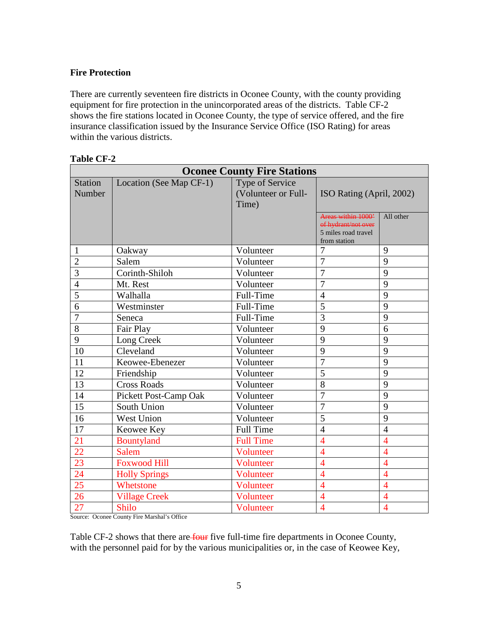## **Fire Protection**

There are currently seventeen fire districts in Oconee County, with the county providing equipment for fire protection in the unincorporated areas of the districts. Table CF-2 shows the fire stations located in Oconee County, the type of service offered, and the fire insurance classification issued by the Insurance Service Office (ISO Rating) for areas within the various districts.

| <b>Oconee County Fire Stations</b> |                         |                     |                                            |                |  |  |
|------------------------------------|-------------------------|---------------------|--------------------------------------------|----------------|--|--|
| <b>Station</b>                     | Location (See Map CF-1) | Type of Service     |                                            |                |  |  |
| Number                             |                         | (Volunteer or Full- | ISO Rating (April, 2002)                   |                |  |  |
|                                    |                         | Time)               |                                            |                |  |  |
|                                    |                         |                     | Areas within 1000'                         | All other      |  |  |
|                                    |                         |                     | of hydrant/not over<br>5 miles road travel |                |  |  |
|                                    |                         |                     | from station                               |                |  |  |
| $\mathbf{1}$                       | Oakway                  | Volunteer           | 7                                          | 9              |  |  |
| $\overline{2}$                     | Salem                   | Volunteer           | $\overline{7}$                             | 9              |  |  |
| $\overline{3}$                     | Corinth-Shiloh          | Volunteer           | $\overline{7}$                             | 9              |  |  |
| $\overline{4}$                     | Mt. Rest                | Volunteer           | 7                                          | 9              |  |  |
| 5                                  | Walhalla                | Full-Time           | $\overline{4}$                             | 9              |  |  |
| 6                                  | Westminster             | Full-Time           | 5                                          | 9              |  |  |
| $\overline{7}$                     | Seneca                  | Full-Time           | 3                                          | 9              |  |  |
| 8                                  | Fair Play               | Volunteer           | 9                                          | 6              |  |  |
| 9                                  | Long Creek              | Volunteer           | 9                                          | 9              |  |  |
| 10                                 | Cleveland               | Volunteer           | 9                                          | 9              |  |  |
| 11                                 | Keowee-Ebenezer         | Volunteer           | $\overline{7}$                             | 9              |  |  |
| 12                                 | Friendship              | Volunteer           | 5                                          | 9              |  |  |
| 13                                 | <b>Cross Roads</b>      | Volunteer           | 8                                          | 9              |  |  |
| 14                                 | Pickett Post-Camp Oak   | Volunteer           | $\overline{7}$                             | 9              |  |  |
| 15                                 | South Union             | Volunteer           | $\overline{7}$                             | 9              |  |  |
| 16                                 | West Union              | Volunteer           | 5                                          | 9              |  |  |
| 17                                 | Keowee Key              | <b>Full Time</b>    | $\overline{4}$                             | $\overline{4}$ |  |  |
| 21                                 | <b>Bountyland</b>       | <b>Full Time</b>    | 4                                          | $\overline{4}$ |  |  |
| 22                                 | <b>Salem</b>            | Volunteer           | $\overline{4}$                             | $\overline{4}$ |  |  |
| 23                                 | <b>Foxwood Hill</b>     | Volunteer           | $\overline{4}$                             | $\overline{4}$ |  |  |
| 24                                 | <b>Holly Springs</b>    | Volunteer           | $\overline{4}$                             | $\overline{4}$ |  |  |
| 25                                 | Whetstone               | Volunteer           | $\overline{4}$                             | $\overline{4}$ |  |  |
| 26                                 | <b>Village Creek</b>    | Volunteer           | $\overline{4}$                             | $\overline{4}$ |  |  |
| 27                                 | Shilo                   | Volunteer           | $\overline{4}$                             | $\overline{4}$ |  |  |

#### **Table CF-2**

Source: Oconee County Fire Marshal's Office

Table CF-2 shows that there are four five full-time fire departments in Oconee County, with the personnel paid for by the various municipalities or, in the case of Keowee Key,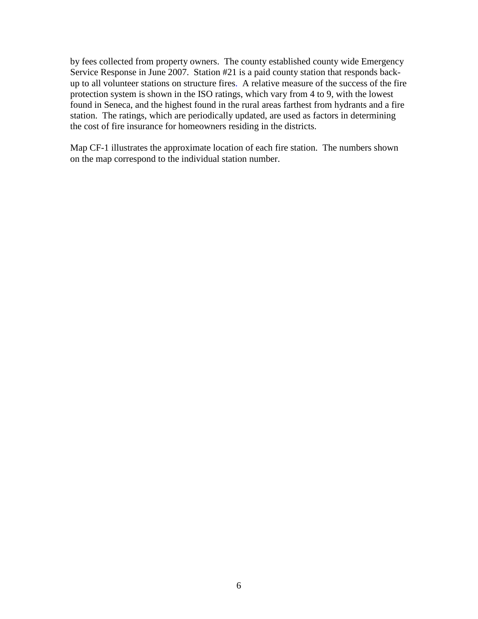by fees collected from property owners. The county established county wide Emergency Service Response in June 2007. Station #21 is a paid county station that responds backup to all volunteer stations on structure fires. A relative measure of the success of the fire protection system is shown in the ISO ratings, which vary from 4 to 9, with the lowest found in Seneca, and the highest found in the rural areas farthest from hydrants and a fire station. The ratings, which are periodically updated, are used as factors in determining the cost of fire insurance for homeowners residing in the districts.

Map CF-1 illustrates the approximate location of each fire station. The numbers shown on the map correspond to the individual station number.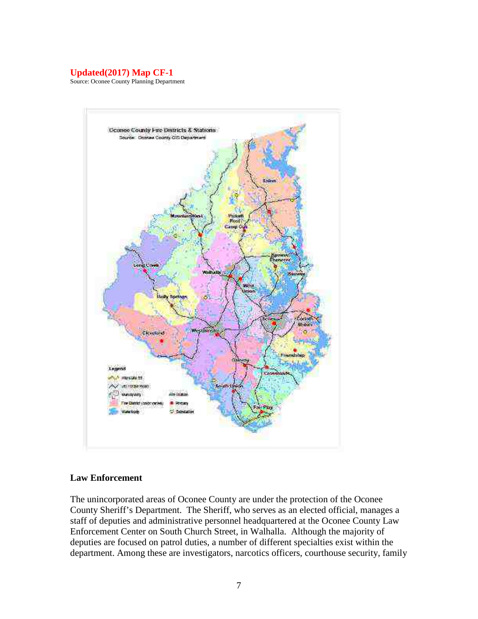## **Updated(2017) Map CF-1**

Source: Oconee County Planning Department



#### **Law Enforcement**

The unincorporated areas of Oconee County are under the protection of the Oconee County Sheriff's Department. The Sheriff, who serves as an elected official, manages a staff of deputies and administrative personnel headquartered at the Oconee County Law Enforcement Center on South Church Street, in Walhalla. Although the majority of deputies are focused on patrol duties, a number of different specialties exist within the department. Among these are investigators, narcotics officers, courthouse security, family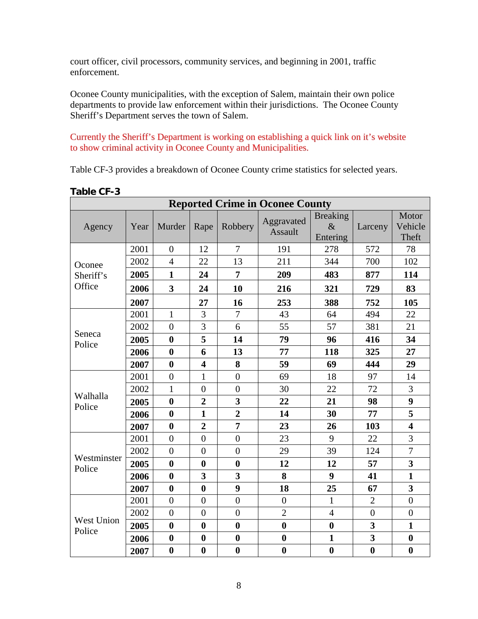court officer, civil processors, community services, and beginning in 2001, traffic enforcement.

Oconee County municipalities, with the exception of Salem, maintain their own police departments to provide law enforcement within their jurisdictions. The Oconee County Sheriff's Department serves the town of Salem.

Currently the Sheriff's Department is working on establishing a quick link on it's website to show criminal activity in Oconee County and Municipalities.

Table CF-3 provides a breakdown of Oconee County crime statistics for selected years.

|                   |      |                         |                         |                         | <b>Reported Crime in Oconee County</b> |                                     |                         |                           |
|-------------------|------|-------------------------|-------------------------|-------------------------|----------------------------------------|-------------------------------------|-------------------------|---------------------------|
| Agency            | Year | Murder                  | Rape                    | Robbery                 | Aggravated<br><b>Assault</b>           | <b>Breaking</b><br>$\&$<br>Entering | Larceny                 | Motor<br>Vehicle<br>Theft |
|                   | 2001 | $\overline{0}$          | 12                      | $\overline{7}$          | 191                                    | 278                                 | 572                     | 78                        |
| Oconee            | 2002 | $\overline{4}$          | 22                      | 13                      | 211                                    | 344                                 | 700                     | 102                       |
| Sheriff's         | 2005 | $\mathbf{1}$            | 24                      | $\overline{7}$          | 209                                    | 483                                 | 877                     | 114                       |
| Office            | 2006 | $\overline{\mathbf{3}}$ | 24                      | 10                      | 216                                    | 321                                 | 729                     | 83                        |
|                   | 2007 |                         | 27                      | 16                      | 253                                    | 388                                 | 752                     | 105                       |
|                   | 2001 | $\mathbf{1}$            | 3                       | $\overline{7}$          | 43                                     | 64                                  | 494                     | 22                        |
|                   | 2002 | $\overline{0}$          | 3                       | 6                       | 55                                     | 57                                  | 381                     | 21                        |
| Seneca<br>Police  | 2005 | $\boldsymbol{0}$        | 5                       | 14                      | 79                                     | 96                                  | 416                     | 34                        |
|                   | 2006 | $\boldsymbol{0}$        | 6                       | 13                      | 77                                     | 118                                 | 325                     | 27                        |
|                   | 2007 | $\bf{0}$                | $\overline{\mathbf{4}}$ | 8                       | 59                                     | 69                                  | 444                     | 29                        |
|                   | 2001 | $\overline{0}$          | $\mathbf{1}$            | $\overline{0}$          | 69                                     | 18                                  | 97                      | 14                        |
| Walhalla          | 2002 | $\mathbf{1}$            | $\overline{0}$          | $\overline{0}$          | 30                                     | 22                                  | 72                      | 3                         |
| Police            | 2005 | $\bf{0}$                | $\overline{2}$          | $\overline{\mathbf{3}}$ | 22                                     | 21                                  | 98                      | $\boldsymbol{9}$          |
|                   | 2006 | $\bf{0}$                | $\mathbf{1}$            | $\overline{2}$          | 14                                     | 30                                  | 77                      | 5                         |
|                   | 2007 | $\boldsymbol{0}$        | $\overline{2}$          | $\overline{7}$          | 23                                     | 26                                  | 103                     | $\overline{\mathbf{4}}$   |
|                   | 2001 | $\overline{0}$          | $\overline{0}$          | $\overline{0}$          | 23                                     | 9                                   | 22                      | 3                         |
| Westminster       | 2002 | $\overline{0}$          | $\theta$                | $\overline{0}$          | 29                                     | 39                                  | 124                     | $\overline{7}$            |
| Police            | 2005 | $\boldsymbol{0}$        | $\bf{0}$                | $\boldsymbol{0}$        | 12                                     | 12                                  | 57                      | $\mathbf{3}$              |
|                   | 2006 | $\bf{0}$                | $\overline{\mathbf{3}}$ | $\overline{\mathbf{3}}$ | 8                                      | 9                                   | 41                      | $\mathbf{1}$              |
|                   | 2007 | $\bf{0}$                | $\bf{0}$                | 9                       | 18                                     | 25                                  | 67                      | $\overline{\mathbf{3}}$   |
|                   | 2001 | $\boldsymbol{0}$        | $\boldsymbol{0}$        | $\boldsymbol{0}$        | $\boldsymbol{0}$                       | $\mathbf{1}$                        | $\overline{2}$          | $\boldsymbol{0}$          |
| <b>West Union</b> | 2002 | $\overline{0}$          | $\overline{0}$          | $\overline{0}$          | $\overline{2}$                         | $\overline{4}$                      | $\overline{0}$          | $\overline{0}$            |
| Police            | 2005 | $\boldsymbol{0}$        | $\bf{0}$                | $\boldsymbol{0}$        | $\boldsymbol{0}$                       | $\boldsymbol{0}$                    | $\overline{\mathbf{3}}$ | $\mathbf{1}$              |
|                   | 2006 | $\bf{0}$                | $\boldsymbol{0}$        | $\boldsymbol{0}$        | $\boldsymbol{0}$                       | $\mathbf{1}$                        | 3                       | $\boldsymbol{0}$          |
|                   | 2007 | $\boldsymbol{0}$        | $\bf{0}$                | $\boldsymbol{0}$        | $\boldsymbol{0}$                       | $\boldsymbol{0}$                    | $\bf{0}$                | $\boldsymbol{0}$          |

**Table CF-3**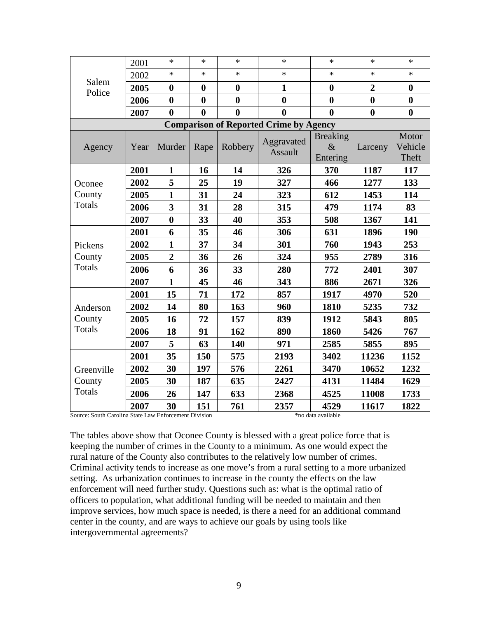|                                                       | 2001 | $\ast$           | $\ast$   | $\ast$   | $\ast$                                        | $\ast$                              | $\ast$           | $\ast$                    |
|-------------------------------------------------------|------|------------------|----------|----------|-----------------------------------------------|-------------------------------------|------------------|---------------------------|
|                                                       | 2002 | $\ast$           | $\ast$   | $\ast$   | $\ast$                                        | $\ast$                              | $\ast$           | $\ast$                    |
| Salem<br>Police                                       | 2005 | $\boldsymbol{0}$ | $\bf{0}$ | $\bf{0}$ | $\mathbf{1}$                                  | $\boldsymbol{0}$                    | $\overline{2}$   | $\boldsymbol{0}$          |
|                                                       | 2006 | $\bf{0}$         | $\bf{0}$ | $\bf{0}$ | $\bf{0}$                                      | $\boldsymbol{0}$                    | $\bf{0}$         | $\boldsymbol{0}$          |
|                                                       | 2007 | $\boldsymbol{0}$ | $\bf{0}$ | $\bf{0}$ | $\bf{0}$                                      | $\bf{0}$                            | $\boldsymbol{0}$ | $\boldsymbol{0}$          |
|                                                       |      |                  |          |          | <b>Comparison of Reported Crime by Agency</b> |                                     |                  |                           |
| Agency                                                | Year | Murder           | Rape     | Robbery  | Aggravated<br><b>Assault</b>                  | <b>Breaking</b><br>$\&$<br>Entering | Larceny          | Motor<br>Vehicle<br>Theft |
|                                                       | 2001 | $\mathbf{1}$     | 16       | 14       | 326                                           | 370                                 | 1187             | 117                       |
| Oconee                                                | 2002 | 5                | 25       | 19       | 327                                           | 466                                 | 1277             | 133                       |
| County                                                | 2005 | $\mathbf{1}$     | 31       | 24       | 323                                           | 612                                 | 1453             | 114                       |
| Totals                                                | 2006 | 3                | 31       | 28       | 315                                           | 479                                 | 1174             | 83                        |
|                                                       | 2007 | $\boldsymbol{0}$ | 33       | 40       | 353                                           | 508                                 | 1367             | 141                       |
|                                                       | 2001 | 6                | 35       | 46       | 306                                           | 631                                 | 1896             | 190                       |
| Pickens                                               | 2002 | $\mathbf{1}$     | 37       | 34       | 301                                           | 760                                 | 1943             | 253                       |
| County                                                | 2005 | $\overline{2}$   | 36       | 26       | 324                                           | 955                                 | 2789             | 316                       |
| Totals                                                | 2006 | 6                | 36       | 33       | 280                                           | 772                                 | 2401             | 307                       |
|                                                       | 2007 | $\mathbf{1}$     | 45       | 46       | 343                                           | 886                                 | 2671             | 326                       |
|                                                       | 2001 | 15               | 71       | 172      | 857                                           | 1917                                | 4970             | 520                       |
| Anderson                                              | 2002 | 14               | 80       | 163      | 960                                           | 1810                                | 5235             | 732                       |
| County                                                | 2005 | 16               | 72       | 157      | 839                                           | 1912                                | 5843             | 805                       |
| Totals                                                | 2006 | 18               | 91       | 162      | 890                                           | 1860                                | 5426             | 767                       |
|                                                       | 2007 | 5                | 63       | 140      | 971                                           | 2585                                | 5855             | 895                       |
|                                                       | 2001 | 35               | 150      | 575      | 2193                                          | 3402                                | 11236            | 1152                      |
| Greenville                                            | 2002 | 30               | 197      | 576      | 2261                                          | 3470                                | 10652            | 1232                      |
| County                                                | 2005 | 30               | 187      | 635      | 2427                                          | 4131                                | 11484            | 1629                      |
| Totals                                                | 2006 | 26               | 147      | 633      | 2368                                          | 4525                                | 11008            | 1733                      |
| Source: South Carolina State Law Enforcement Division | 2007 | 30               | 151      | 761      | 2357                                          | 4529<br>*no data available          | 11617            | 1822                      |

The tables above show that Oconee County is blessed with a great police force that is keeping the number of crimes in the County to a minimum. As one would expect the rural nature of the County also contributes to the relatively low number of crimes. Criminal activity tends to increase as one move's from a rural setting to a more urbanized setting. As urbanization continues to increase in the county the effects on the law enforcement will need further study. Questions such as: what is the optimal ratio of officers to population, what additional funding will be needed to maintain and then improve services, how much space is needed, is there a need for an additional command center in the county, and are ways to achieve our goals by using tools like intergovernmental agreements?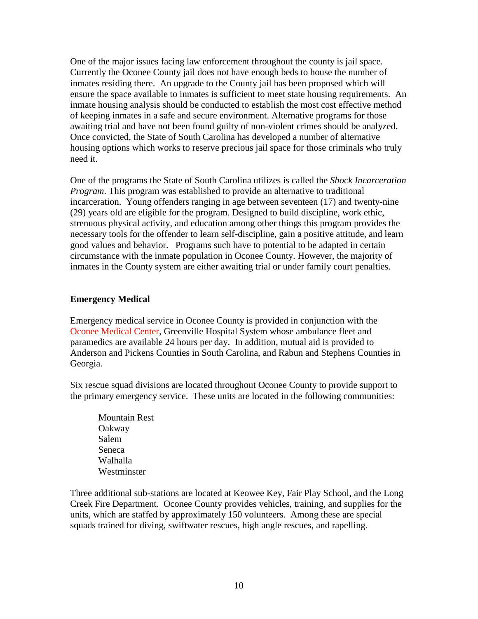One of the major issues facing law enforcement throughout the county is jail space. Currently the Oconee County jail does not have enough beds to house the number of inmates residing there. An upgrade to the County jail has been proposed which will ensure the space available to inmates is sufficient to meet state housing requirements. An inmate housing analysis should be conducted to establish the most cost effective method of keeping inmates in a safe and secure environment. Alternative programs for those awaiting trial and have not been found guilty of non-violent crimes should be analyzed. Once convicted, the State of South Carolina has developed a number of alternative housing options which works to reserve precious jail space for those criminals who truly need it.

One of the programs the State of South Carolina utilizes is called the *Shock Incarceration Program*. This program was established to provide an alternative to traditional incarceration. Young offenders ranging in age between seventeen (17) and twenty-nine (29) years old are eligible for the program. Designed to build discipline, work ethic, strenuous physical activity, and education among other things this program provides the necessary tools for the offender to learn self-discipline, gain a positive attitude, and learn good values and behavior. Programs such have to potential to be adapted in certain circumstance with the inmate population in Oconee County. However, the majority of inmates in the County system are either awaiting trial or under family court penalties.

## **Emergency Medical**

Emergency medical service in Oconee County is provided in conjunction with the Oconee Medical Center, Greenville Hospital System whose ambulance fleet and paramedics are available 24 hours per day. In addition, mutual aid is provided to Anderson and Pickens Counties in South Carolina, and Rabun and Stephens Counties in Georgia.

Six rescue squad divisions are located throughout Oconee County to provide support to the primary emergency service. These units are located in the following communities:

Mountain Rest Oakway Salem Seneca Walhalla Westminster

Three additional sub-stations are located at Keowee Key, Fair Play School, and the Long Creek Fire Department. Oconee County provides vehicles, training, and supplies for the units, which are staffed by approximately 150 volunteers. Among these are special squads trained for diving, swiftwater rescues, high angle rescues, and rapelling.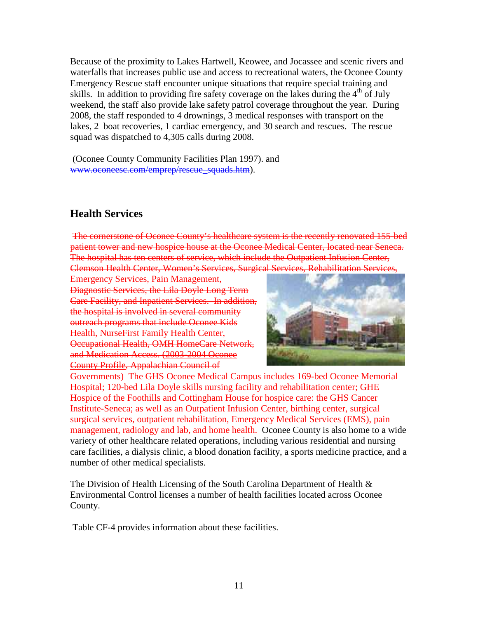Because of the proximity to Lakes Hartwell, Keowee, and Jocassee and scenic rivers and waterfalls that increases public use and access to recreational waters, the Oconee County Emergency Rescue staff encounter unique situations that require special training and skills. In addition to providing fire safety coverage on the lakes during the  $4<sup>th</sup>$  of July weekend, the staff also provide lake safety patrol coverage throughout the year. During 2008, the staff responded to 4 drownings, 3 medical responses with transport on the lakes, 2 boat recoveries, 1 cardiac emergency, and 30 search and rescues. The rescue squad was dispatched to 4,305 calls during 2008.

(Oconee County Community Facilities Plan 1997). and [www.oconeesc.com/emprep/rescue\\_squads.htm\)](http://www.oconeesc.com/emprep/rescue_squads.htm).

## **Health Services**

The cornerstone of Oconee County's healthcare system is the recently renovated 155-bed patient tower and new hospice house at the Oconee Medical Center, located near Seneca. The hospital has ten centers of service, which include the Outpatient Infusion Center, Clemson Health Center, Women's Services, Surgical Services, Rehabilitation Services,

Emergency Services, Pain Management, Diagnostic Services, the Lila Doyle Long Term Care Facility, and Inpatient Services. In addition, the hospital is involved in several community outreach programs that include Oconee Kids Health, NurseFirst Family Health Center, Occupational Health, OMH HomeCare Network, and Medication Access. (2003-2004 Oconee County Profile, Appalachian Council of



Governments) The GHS Oconee Medical Campus includes 169-bed Oconee Memorial Hospital; 120-bed Lila Doyle skills nursing facility and rehabilitation center; GHE Hospice of the Foothills and Cottingham House for hospice care: the GHS Cancer Institute-Seneca; as well as an Outpatient Infusion Center, birthing center, surgical surgical services, outpatient rehabilitation, Emergency Medical Services (EMS), pain management, radiology and lab, and home health. Oconee County is also home to a wide variety of other healthcare related operations, including various residential and nursing care facilities, a dialysis clinic, a blood donation facility, a sports medicine practice, and a number of other medical specialists.

The Division of Health Licensing of the South Carolina Department of Health  $\&$ Environmental Control licenses a number of health facilities located across Oconee County.

Table CF-4 provides information about these facilities.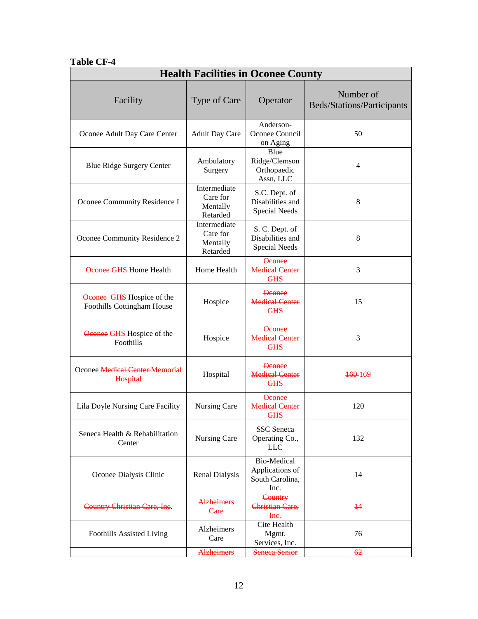## **Table CF-4**

| <b>Health Facilities in Oconee County</b>                      |                                                  |                                                                  |                                                |  |  |  |
|----------------------------------------------------------------|--------------------------------------------------|------------------------------------------------------------------|------------------------------------------------|--|--|--|
| Facility                                                       | Type of Care                                     | Operator                                                         | Number of<br><b>Beds/Stations/Participants</b> |  |  |  |
| Oconee Adult Day Care Center                                   | <b>Adult Day Care</b>                            | Anderson-<br>Oconee Council<br>on Aging                          | 50                                             |  |  |  |
| <b>Blue Ridge Surgery Center</b>                               | Ambulatory<br>Surgery                            | Blue<br>Ridge/Clemson<br>Orthopaedic<br>Assn, LLC                | $\overline{4}$                                 |  |  |  |
| Oconee Community Residence I                                   | Intermediate<br>Care for<br>Mentally<br>Retarded | S.C. Dept. of<br>Disabilities and<br>Special Needs               | 8                                              |  |  |  |
| Oconee Community Residence 2                                   | Intermediate<br>Care for<br>Mentally<br>Retarded | S. C. Dept. of<br>Disabilities and<br><b>Special Needs</b>       | 8                                              |  |  |  |
| <b>Oconee GHS Home Health</b>                                  | Home Health                                      | <b>Oconee</b><br><b>Medical Center</b><br><b>GHS</b>             | 3                                              |  |  |  |
| <b>Oconee</b> GHS Hospice of the<br>Foothills Cottingham House | Hospice                                          | <b>Oconee</b><br><b>Medical Center</b><br><b>GHS</b>             | 15                                             |  |  |  |
| <b>Oconee GHS</b> Hospice of the<br>Foothills                  | Hospice                                          | <b>Oconee</b><br><b>Medical Center</b><br><b>GHS</b>             | 3                                              |  |  |  |
| Oconee Medical Center-Memorial<br>Hospital                     | Hospital                                         | <b>Oconee</b><br><b>Medical Center</b><br><b>GHS</b>             | 160-169                                        |  |  |  |
| Lila Doyle Nursing Care Facility                               | <b>Nursing Care</b>                              | <b>Oconee</b><br><b>Medical Center</b><br><b>GHS</b>             | 120                                            |  |  |  |
| Seneca Health & Rehabilitation<br>Center                       | Nursing Care                                     | <b>SSC</b> Seneca<br>Operating Co.,<br><b>LLC</b>                | 132                                            |  |  |  |
| Oconee Dialysis Clinic                                         | <b>Renal Dialysis</b>                            | <b>Bio-Medical</b><br>Applications of<br>South Carolina,<br>Inc. | 14                                             |  |  |  |
| Country Christian Care, Inc.                                   | <b>Alzheimers</b><br>Care                        | Country<br>Christian Care,<br>$He$                               | $\overline{14}$                                |  |  |  |
| Foothills Assisted Living                                      | Alzheimers<br>Care                               | Cite Health<br>Mgmt.<br>Services, Inc.                           | 76                                             |  |  |  |
|                                                                | Alzheimers                                       | <b>Seneca Senior</b>                                             | 62                                             |  |  |  |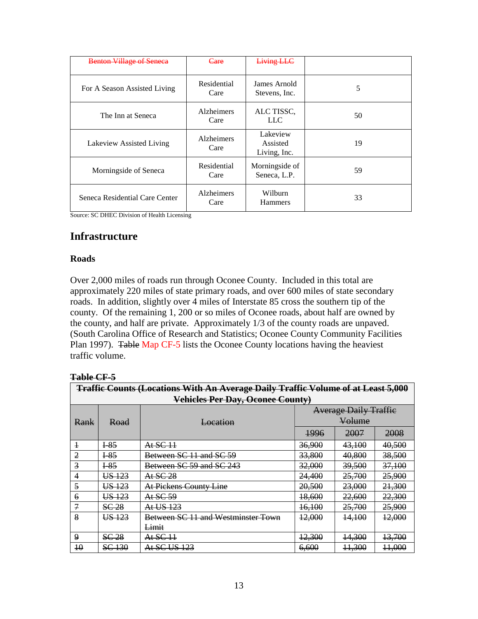| <b>Benton Village of Seneca</b> | Care                      | <b>Living LLC</b>                    |    |
|---------------------------------|---------------------------|--------------------------------------|----|
| For A Season Assisted Living    | Residential<br>Care       | James Arnold<br>Stevens, Inc.        | 5  |
| The Inn at Seneca               | <b>Alzheimers</b><br>Care | ALC TISSC,<br>LLC                    | 50 |
| Lakeview Assisted Living        | <b>Alzheimers</b><br>Care | Lakeview<br>Assisted<br>Living, Inc. | 19 |
| Morningside of Seneca           | Residential<br>Care       | Morningside of<br>Seneca, L.P.       | 59 |
| Seneca Residential Care Center  | <b>Alzheimers</b><br>Care | Wilburn<br><b>Hammers</b>            | 33 |

Source: SC DHEC Division of Health Licensing

## **Infrastructure**

## **Roads**

Over 2,000 miles of roads run through Oconee County. Included in this total are approximately 220 miles of state primary roads, and over 600 miles of state secondary roads. In addition, slightly over 4 miles of Interstate 85 cross the southern tip of the county. Of the remaining 1, 200 or so miles of Oconee roads, about half are owned by the county, and half are private. Approximately 1/3 of the county roads are unpaved. (South Carolina Office of Research and Statistics; Oconee County Community Facilities Plan 1997). Table Map CF-5 lists the Oconee County locations having the heaviest traffic volume.

#### **Table CF-5**

| <b>Traffic Counts (Locations With An Average Daily Traffic Volume of at Least 5,000</b> |                    |                                    |                              |                   |                   |  |
|-----------------------------------------------------------------------------------------|--------------------|------------------------------------|------------------------------|-------------------|-------------------|--|
| <b>Vehicles Per Day, Oconce County)</b>                                                 |                    |                                    |                              |                   |                   |  |
|                                                                                         |                    |                                    | <b>Average Daily Traffic</b> |                   |                   |  |
| Rank                                                                                    | Road               | Location                           | Volume                       |                   |                   |  |
|                                                                                         |                    |                                    | 1996                         | 2007              | 2008              |  |
| $\ddagger$                                                                              | E                  | $At SC+1$                          | 36,900                       | 43,100            | 40,500            |  |
| $\overline{2}$                                                                          | E                  | Between SC 11 and SC 59            | 33,800                       | 40,800            | 38,500            |  |
| $\overline{3}$                                                                          | $E_{\frac{85}{2}}$ | Between SC 59 and SC 243           | 32,000                       | <del>39,500</del> | 37,100            |  |
| 4                                                                                       | US 123             | At SC 28                           | 24,400                       | <del>25,700</del> | 25,900            |  |
| 5                                                                                       | US 123             | At Pickens County Line             | 20,500                       | 23,000            | 21,300            |  |
| $\overline{6}$                                                                          | US 123             | At SC 59                           | 18,600                       | <del>22,600</del> | 22,300            |  |
| $\overline{7}$                                                                          | SC 28              | At US 123                          | <del>16,100</del>            | <del>25,700</del> | 25,900            |  |
| 8                                                                                       | US 123             | Between SC 11 and Westminster Town | 12,000                       | <del>14.100</del> | 12,000            |  |
|                                                                                         |                    | Limit                              |                              |                   |                   |  |
| 9                                                                                       | SC <sub>28</sub>   | At SC 11                           | 12,300                       | 14,300            | <del>13,700</del> |  |
| 40                                                                                      | <b>SC 130</b>      | At SC US 123                       | 6.600                        | <del>11,300</del> | 11,000            |  |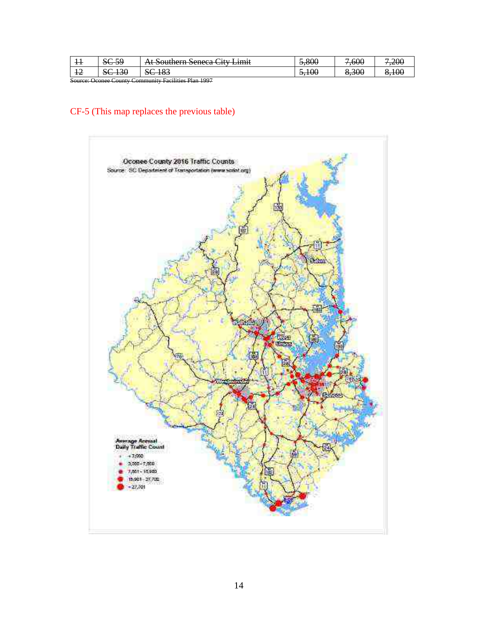|    | $\sim$ $\sim$ $\sim$<br>ີ<br>DQJZ | Jouthern Seneca L<br>1 <sub>mat</sub><br>$+1.7$<br><del><i>He bouldern beneca City Limit</i></del> | 5,800        | 4,600<br>–        | 200<br>$-200$            |
|----|-----------------------------------|----------------------------------------------------------------------------------------------------|--------------|-------------------|--------------------------|
| IΖ | $50-150$                          | 193<br><del>50 105</del>                                                                           | 100<br>J.100 | 300<br>ີ<br>o.juu | 10 <sup>c</sup><br>0.100 |

Source: Oconee County Community Facilities Plan 1997

## CF-5 (This map replaces the previous table)

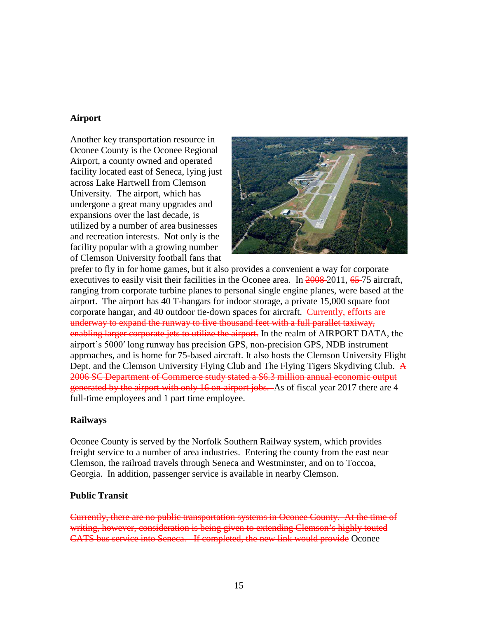#### **Airport**

Another key transportation resource in Oconee County is the Oconee Regional Airport, a county owned and operated facility located east of Seneca, lying just across Lake Hartwell from Clemson University. The airport, which has undergone a great many upgrades and expansions over the last decade, is utilized by a number of area businesses and recreation interests. Not only is the facility popular with a growing number of Clemson University football fans that



prefer to fly in for home games, but it also provides a convenient a way for corporate executives to easily visit their facilities in the Oconee area. In  $2008-2011$ ,  $65-75$  aircraft, ranging from corporate turbine planes to personal single engine planes, were based at the airport. The airport has 40 T-hangars for indoor storage, a private 15,000 square foot corporate hangar, and 40 outdoor tie-down spaces for aircraft. Currently, efforts are underway to expand the runway to five thousand feet with a full parallet taxiway, enabling larger corporate jets to utilize the airport. In the realm of AIRPORT DATA, the airport's 5000′ long runway has precision GPS, non-precision GPS, NDB instrument approaches, and is home for 75-based aircraft. It also hosts the Clemson University Flight Dept. and the Clemson University Flying Club and The Flying Tigers Skydiving Club. A 2006 SC Department of Commerce study stated a \$6.3 million annual economic output generated by the airport with only 16 on-airport jobs. As of fiscal year 2017 there are 4 full-time employees and 1 part time employee.

#### **Railways**

Oconee County is served by the Norfolk Southern Railway system, which provides freight service to a number of area industries. Entering the county from the east near Clemson, the railroad travels through Seneca and Westminster, and on to Toccoa, Georgia. In addition, passenger service is available in nearby Clemson.

#### **Public Transit**

Currently, there are no public transportation systems in Oconee County. At the time of writing, however, consideration is being given to extending Clemson's highly touted CATS bus service into Seneca. If completed, the new link would provide Oconee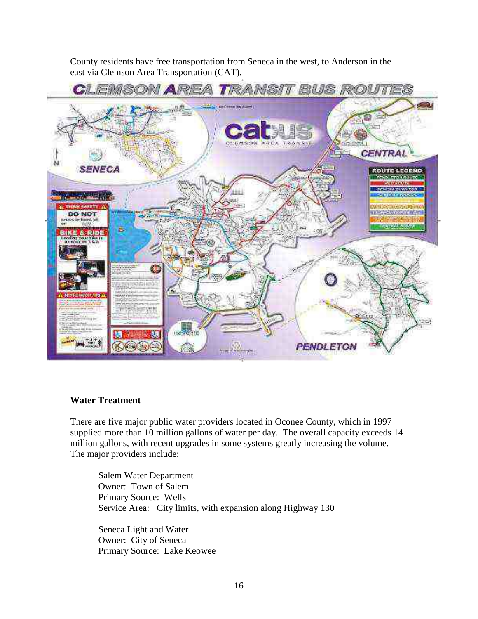County residents have free transportation from Seneca in the west, to Anderson in the east via Clemson Area Transportation (CAT).



## **Water Treatment**

There are five major public water providers located in Oconee County, which in 1997 supplied more than 10 million gallons of water per day. The overall capacity exceeds 14 million gallons, with recent upgrades in some systems greatly increasing the volume. The major providers include:

Salem Water Department Owner: Town of Salem Primary Source: Wells Service Area: City limits, with expansion along Highway 130

Seneca Light and Water Owner: City of Seneca Primary Source: Lake Keowee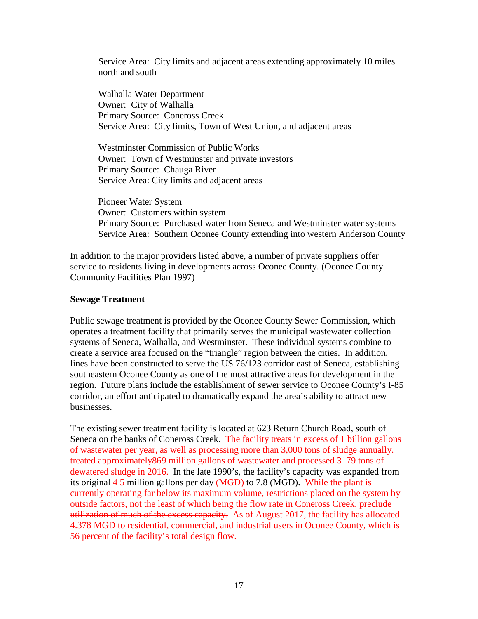Service Area: City limits and adjacent areas extending approximately 10 miles north and south

Walhalla Water Department Owner: City of Walhalla Primary Source: Coneross Creek Service Area: City limits, Town of West Union, and adjacent areas

Westminster Commission of Public Works Owner: Town of Westminster and private investors Primary Source: Chauga River Service Area: City limits and adjacent areas

Pioneer Water System Owner: Customers within system Primary Source: Purchased water from Seneca and Westminster water systems Service Area: Southern Oconee County extending into western Anderson County

In addition to the major providers listed above, a number of private suppliers offer service to residents living in developments across Oconee County. (Oconee County Community Facilities Plan 1997)

#### **Sewage Treatment**

Public sewage treatment is provided by the Oconee County Sewer Commission, which operates a treatment facility that primarily serves the municipal wastewater collection systems of Seneca, Walhalla, and Westminster. These individual systems combine to create a service area focused on the "triangle" region between the cities. In addition, lines have been constructed to serve the US 76/123 corridor east of Seneca, establishing southeastern Oconee County as one of the most attractive areas for development in the region. Future plans include the establishment of sewer service to Oconee County's I-85 corridor, an effort anticipated to dramatically expand the area's ability to attract new businesses.

The existing sewer treatment facility is located at 623 Return Church Road, south of Seneca on the banks of Coneross Creek. The facility treats in excess of 1 billion gallons of wastewater per year, as well as processing more than 3,000 tons of sludge annually. treated approximately869 million gallons of wastewater and processed 3179 tons of dewatered sludge in 2016. In the late 1990's, the facility's capacity was expanded from its original 4.5 million gallons per day (MGD) to 7.8 (MGD). While the plant is currently operating far below its maximum volume, restrictions placed on the system by outside factors, not the least of which being the flow rate in Coneross Creek, preclude utilization of much of the excess capacity. As of August 2017, the facility has allocated 4.378 MGD to residential, commercial, and industrial users in Oconee County, which is 56 percent of the facility's total design flow.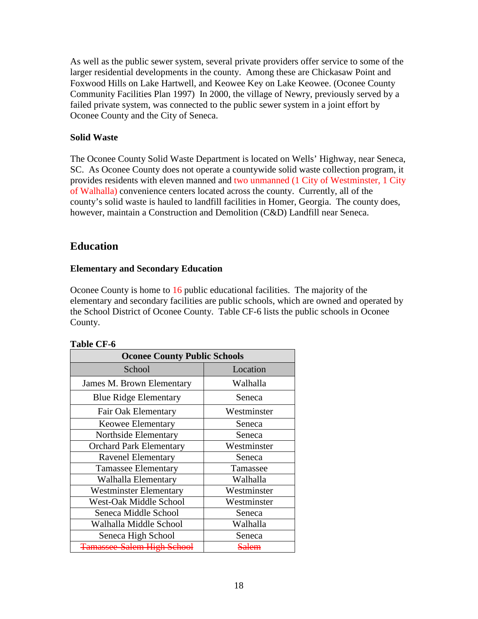As well as the public sewer system, several private providers offer service to some of the larger residential developments in the county. Among these are Chickasaw Point and Foxwood Hills on Lake Hartwell, and Keowee Key on Lake Keowee. (Oconee County Community Facilities Plan 1997) In 2000, the village of Newry, previously served by a failed private system, was connected to the public sewer system in a joint effort by Oconee County and the City of Seneca.

## **Solid Waste**

The Oconee County Solid Waste Department is located on Wells' Highway, near Seneca, SC. As Oconee County does not operate a countywide solid waste collection program, it provides residents with eleven manned and two unmanned (1 City of Westminster, 1 City of Walhalla) convenience centers located across the county. Currently, all of the county's solid waste is hauled to landfill facilities in Homer, Georgia. The county does, however, maintain a Construction and Demolition (C&D) Landfill near Seneca.

## **Education**

## **Elementary and Secondary Education**

Oconee County is home to 16 public educational facilities. The majority of the elementary and secondary facilities are public schools, which are owned and operated by the School District of Oconee County. Table CF-6 lists the public schools in Oconee County.

| <b>Oconee County Public Schools</b> |             |  |  |  |
|-------------------------------------|-------------|--|--|--|
| School                              | Location    |  |  |  |
| James M. Brown Elementary           | Walhalla    |  |  |  |
| <b>Blue Ridge Elementary</b>        | Seneca      |  |  |  |
| Fair Oak Elementary                 | Westminster |  |  |  |
| <b>Keowee Elementary</b>            | Seneca      |  |  |  |
| Northside Elementary                | Seneca      |  |  |  |
| <b>Orchard Park Elementary</b>      | Westminster |  |  |  |
| <b>Ravenel Elementary</b>           | Seneca      |  |  |  |
| <b>Tamassee Elementary</b>          | Tamassee    |  |  |  |
| Walhalla Elementary                 | Walhalla    |  |  |  |
| <b>Westminster Elementary</b>       | Westminster |  |  |  |
| West-Oak Middle School              | Westminster |  |  |  |
| Seneca Middle School                | Seneca      |  |  |  |
| Walhalla Middle School              | Walhalla    |  |  |  |
| Seneca High School                  | Seneca      |  |  |  |
| amassee-Salem High Schoo            |             |  |  |  |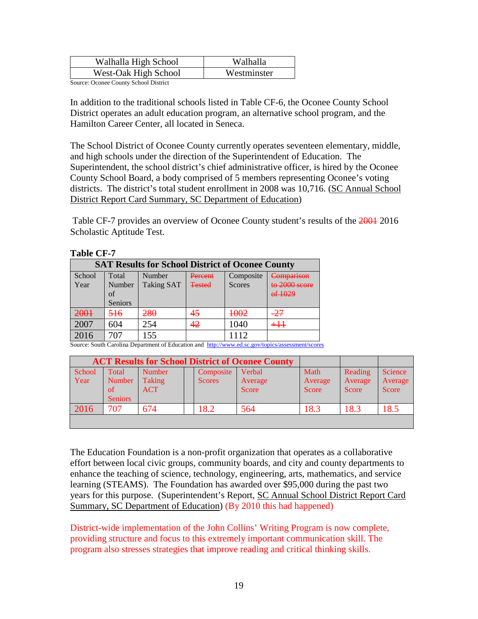| Walhalla High School                        | Walhalla    |
|---------------------------------------------|-------------|
| West-Oak High School                        | Westminster |
| $\alpha$ $\alpha$ $\alpha$ $\alpha$ $\beta$ |             |

Source: Oconee County School District

In addition to the traditional schools listed in Table CF-6, the Oconee County School District operates an adult education program, an alternative school program, and the Hamilton Career Center, all located in Seneca.

The School District of Oconee County currently operates seventeen elementary, middle, and high schools under the direction of the Superintendent of Education. The Superintendent, the school district's chief administrative officer, is hired by the Oconee County School Board, a body comprised of 5 members representing Oconee's voting districts. The district's total student enrollment in 2008 was 10,716. (SC Annual School District Report Card Summary, SC Department of Education)

Table CF-7 provides an overview of Oconee County student's results of the 2001 2016 Scholastic Aptitude Test.

| TUNIV VI 1                                              |                |            |               |           |                       |  |
|---------------------------------------------------------|----------------|------------|---------------|-----------|-----------------------|--|
| <b>SAT Results for School District of Oconee County</b> |                |            |               |           |                       |  |
| School                                                  | Total          | Number     | Percent       | Composite | <del>Comparison</del> |  |
| Year                                                    | Number         | Taking SAT | <b>Tested</b> | Scores    | to 2000 score         |  |
|                                                         | of             |            |               |           | $0f$ 1029             |  |
|                                                         | <b>Seniors</b> |            |               |           |                       |  |
| 2001                                                    | 516            | 280        | 45            | 1002      | -27                   |  |
| 2007                                                    | 604            | 254        | 42            | 1040      | +++                   |  |
| 2016                                                    | 707            | 155        |               | 1112      |                       |  |

Source: South Carolina Department of Education and<http://www.ed.sc.gov/topics/assessment/scores>

| <b>ACT Results for School District of Oconee County</b> |                |                  |               |         |         |         |         |
|---------------------------------------------------------|----------------|------------------|---------------|---------|---------|---------|---------|
| <b>School</b>                                           | Total          | <b>Number</b>    | Composite     | Verbal  | Math    | Reading | Science |
| Year                                                    | <b>Number</b>  | <b>Taking</b>    | <b>Scores</b> | Average | Average | Average | Average |
|                                                         | of             | ACT <sup>2</sup> |               | Score   | Score   | Score   | Score   |
|                                                         | <b>Seniors</b> |                  |               |         |         |         |         |
| 2016                                                    | 707            | 674              | 18.2          | 564     | 18.3    | 18.3    | 18.5    |
|                                                         |                |                  |               |         |         |         |         |

The Education Foundation is a non-profit organization that operates as a collaborative effort between local civic groups, community boards, and city and county departments to enhance the teaching of science, technology, engineering, arts, mathematics, and service learning (STEAMS). The Foundation has awarded over \$95,000 during the past two years for this purpose. (Superintendent's Report, SC Annual School District Report Card Summary, SC Department of Education) (By 2010 this had happened)

District-wide implementation of the John Collins' Writing Program is now complete, providing structure and focus to this extremely important communication skill. The program also stresses strategies that improve reading and critical thinking skills.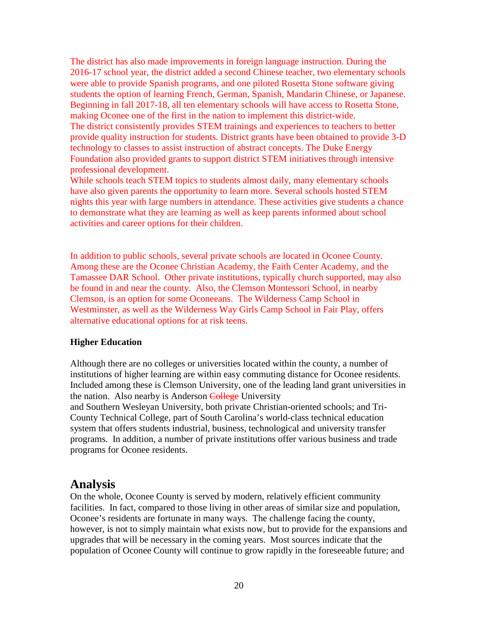The district has also made improvements in foreign language instruction. During the 2016-17 school year, the district added a second Chinese teacher, two elementary schools were able to provide Spanish programs, and one piloted Rosetta Stone software giving students the option of learning French, German, Spanish, Mandarin Chinese, or Japanese. Beginning in fall 2017-18, all ten elementary schools will have access to Rosetta Stone, making Oconee one of the first in the nation to implement this district-wide. The district consistently provides STEM trainings and experiences to teachers to better provide quality instruction for students. District grants have been obtained to provide 3-D technology to classes to assist instruction of abstract concepts. The Duke Energy Foundation also provided grants to support district STEM initiatives through intensive professional development.

While schools teach STEM topics to students almost daily, many elementary schools have also given parents the opportunity to learn more. Several schools hosted STEM nights this year with large numbers in attendance. These activities give students a chance to demonstrate what they are learning as well as keep parents informed about school activities and career options for their children.

In addition to public schools, several private schools are located in Oconee County. Among these are the Oconee Christian Academy, the Faith Center Academy, and the Tamassee DAR School. Other private institutions, typically church supported, may also be found in and near the county. Also, the Clemson Montessori School, in nearby Clemson, is an option for some Oconeeans. The Wilderness Camp School in Westminster, as well as the Wilderness Way Girls Camp School in Fair Play, offers alternative educational options for at risk teens.

#### **Higher Education**

Although there are no colleges or universities located within the county, a number of institutions of higher learning are within easy commuting distance for Oconee residents. Included among these is Clemson University, one of the leading land grant universities in the nation. Also nearby is Anderson College University

and Southern Wesleyan University, both private Christian-oriented schools; and Tri-County Technical College, part of South Carolina's world-class technical education system that offers students industrial, business, technological and university transfer programs. In addition, a number of private institutions offer various business and trade programs for Oconee residents.

## **Analysis**

On the whole, Oconee County is served by modern, relatively efficient community facilities. In fact, compared to those living in other areas of similar size and population, Oconee's residents are fortunate in many ways. The challenge facing the county, however, is not to simply maintain what exists now, but to provide for the expansions and upgrades that will be necessary in the coming years. Most sources indicate that the population of Oconee County will continue to grow rapidly in the foreseeable future; and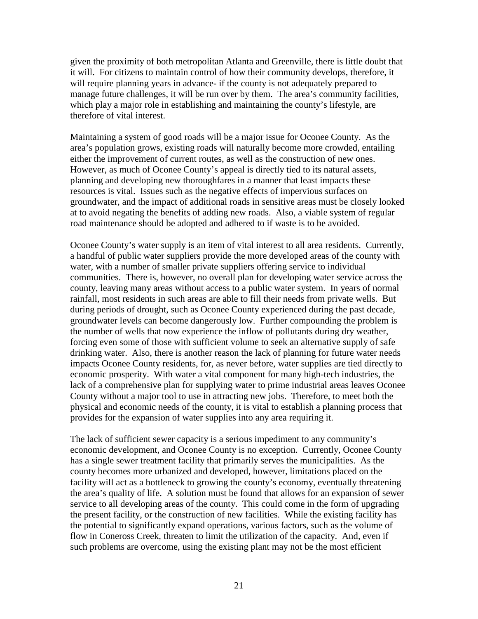given the proximity of both metropolitan Atlanta and Greenville, there is little doubt that it will. For citizens to maintain control of how their community develops, therefore, it will require planning years in advance- if the county is not adequately prepared to manage future challenges, it will be run over by them. The area's community facilities, which play a major role in establishing and maintaining the county's lifestyle, are therefore of vital interest.

Maintaining a system of good roads will be a major issue for Oconee County. As the area's population grows, existing roads will naturally become more crowded, entailing either the improvement of current routes, as well as the construction of new ones. However, as much of Oconee County's appeal is directly tied to its natural assets, planning and developing new thoroughfares in a manner that least impacts these resources is vital. Issues such as the negative effects of impervious surfaces on groundwater, and the impact of additional roads in sensitive areas must be closely looked at to avoid negating the benefits of adding new roads. Also, a viable system of regular road maintenance should be adopted and adhered to if waste is to be avoided.

Oconee County's water supply is an item of vital interest to all area residents. Currently, a handful of public water suppliers provide the more developed areas of the county with water, with a number of smaller private suppliers offering service to individual communities. There is, however, no overall plan for developing water service across the county, leaving many areas without access to a public water system. In years of normal rainfall, most residents in such areas are able to fill their needs from private wells. But during periods of drought, such as Oconee County experienced during the past decade, groundwater levels can become dangerously low. Further compounding the problem is the number of wells that now experience the inflow of pollutants during dry weather, forcing even some of those with sufficient volume to seek an alternative supply of safe drinking water. Also, there is another reason the lack of planning for future water needs impacts Oconee County residents, for, as never before, water supplies are tied directly to economic prosperity. With water a vital component for many high-tech industries, the lack of a comprehensive plan for supplying water to prime industrial areas leaves Oconee County without a major tool to use in attracting new jobs. Therefore, to meet both the physical and economic needs of the county, it is vital to establish a planning process that provides for the expansion of water supplies into any area requiring it.

The lack of sufficient sewer capacity is a serious impediment to any community's economic development, and Oconee County is no exception. Currently, Oconee County has a single sewer treatment facility that primarily serves the municipalities. As the county becomes more urbanized and developed, however, limitations placed on the facility will act as a bottleneck to growing the county's economy, eventually threatening the area's quality of life. A solution must be found that allows for an expansion of sewer service to all developing areas of the county. This could come in the form of upgrading the present facility, or the construction of new facilities. While the existing facility has the potential to significantly expand operations, various factors, such as the volume of flow in Coneross Creek, threaten to limit the utilization of the capacity. And, even if such problems are overcome, using the existing plant may not be the most efficient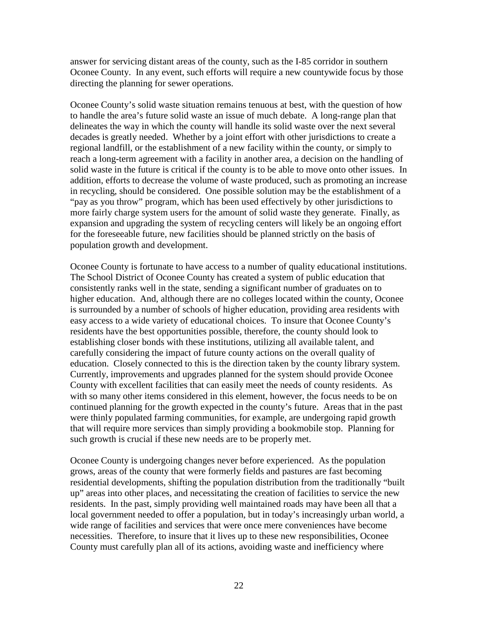answer for servicing distant areas of the county, such as the I-85 corridor in southern Oconee County. In any event, such efforts will require a new countywide focus by those directing the planning for sewer operations.

Oconee County's solid waste situation remains tenuous at best, with the question of how to handle the area's future solid waste an issue of much debate. A long-range plan that delineates the way in which the county will handle its solid waste over the next several decades is greatly needed. Whether by a joint effort with other jurisdictions to create a regional landfill, or the establishment of a new facility within the county, or simply to reach a long-term agreement with a facility in another area, a decision on the handling of solid waste in the future is critical if the county is to be able to move onto other issues. In addition, efforts to decrease the volume of waste produced, such as promoting an increase in recycling, should be considered. One possible solution may be the establishment of a "pay as you throw" program, which has been used effectively by other jurisdictions to more fairly charge system users for the amount of solid waste they generate. Finally, as expansion and upgrading the system of recycling centers will likely be an ongoing effort for the foreseeable future, new facilities should be planned strictly on the basis of population growth and development.

Oconee County is fortunate to have access to a number of quality educational institutions. The School District of Oconee County has created a system of public education that consistently ranks well in the state, sending a significant number of graduates on to higher education. And, although there are no colleges located within the county, Oconee is surrounded by a number of schools of higher education, providing area residents with easy access to a wide variety of educational choices. To insure that Oconee County's residents have the best opportunities possible, therefore, the county should look to establishing closer bonds with these institutions, utilizing all available talent, and carefully considering the impact of future county actions on the overall quality of education. Closely connected to this is the direction taken by the county library system. Currently, improvements and upgrades planned for the system should provide Oconee County with excellent facilities that can easily meet the needs of county residents. As with so many other items considered in this element, however, the focus needs to be on continued planning for the growth expected in the county's future. Areas that in the past were thinly populated farming communities, for example, are undergoing rapid growth that will require more services than simply providing a bookmobile stop. Planning for such growth is crucial if these new needs are to be properly met.

Oconee County is undergoing changes never before experienced. As the population grows, areas of the county that were formerly fields and pastures are fast becoming residential developments, shifting the population distribution from the traditionally "built up" areas into other places, and necessitating the creation of facilities to service the new residents. In the past, simply providing well maintained roads may have been all that a local government needed to offer a population, but in today's increasingly urban world, a wide range of facilities and services that were once mere conveniences have become necessities. Therefore, to insure that it lives up to these new responsibilities, Oconee County must carefully plan all of its actions, avoiding waste and inefficiency where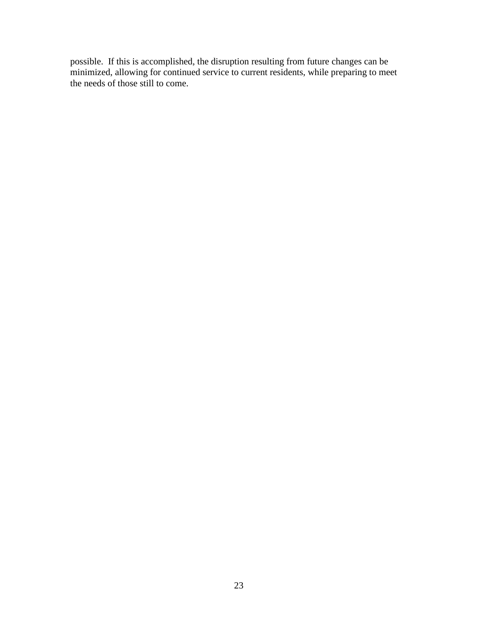possible. If this is accomplished, the disruption resulting from future changes can be minimized, allowing for continued service to current residents, while preparing to meet the needs of those still to come.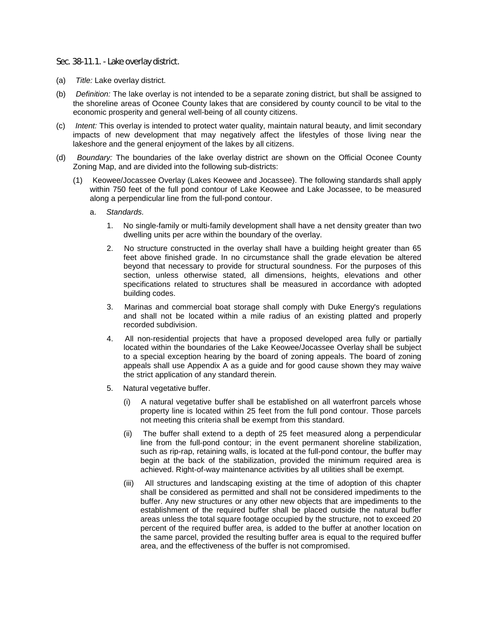Sec. 38-11.1. - Lake overlay district.

- (a) *Title:* Lake overlay district.
- (b) *Definition:* The lake overlay is not intended to be a separate zoning district, but shall be assigned to the shoreline areas of Oconee County lakes that are considered by county council to be vital to the economic prosperity and general well-being of all county citizens.
- (c) *Intent:* This overlay is intended to protect water quality, maintain natural beauty, and limit secondary impacts of new development that may negatively affect the lifestyles of those living near the lakeshore and the general enjoyment of the lakes by all citizens.
- (d) *Boundary:* The boundaries of the lake overlay district are shown on the Official Oconee County Zoning Map, and are divided into the following sub-districts:
	- (1) Keowee/Jocassee Overlay (Lakes Keowee and Jocassee). The following standards shall apply within 750 feet of the full pond contour of Lake Keowee and Lake Jocassee, to be measured along a perpendicular line from the full-pond contour.
		- a. *Standards.*
			- 1. No single-family or multi-family development shall have a net density greater than two dwelling units per acre within the boundary of the overlay.
			- 2. No structure constructed in the overlay shall have a building height greater than 65 feet above finished grade. In no circumstance shall the grade elevation be altered beyond that necessary to provide for structural soundness. For the purposes of this section, unless otherwise stated, all dimensions, heights, elevations and other specifications related to structures shall be measured in accordance with adopted building codes.
			- 3. Marinas and commercial boat storage shall comply with Duke Energy's regulations and shall not be located within a mile radius of an existing platted and properly recorded subdivision.
			- 4. All non-residential projects that have a proposed developed area fully or partially located within the boundaries of the Lake Keowee/Jocassee Overlay shall be subject to a special exception hearing by the board of zoning appeals. The board of zoning appeals shall use Appendix A as a guide and for good cause shown they may waive the strict application of any standard therein.
			- 5. Natural vegetative buffer.
				- (i) A natural vegetative buffer shall be established on all waterfront parcels whose property line is located within 25 feet from the full pond contour. Those parcels not meeting this criteria shall be exempt from this standard.
				- (ii) The buffer shall extend to a depth of 25 feet measured along a perpendicular line from the full-pond contour; in the event permanent shoreline stabilization, such as rip-rap, retaining walls, is located at the full-pond contour, the buffer may begin at the back of the stabilization, provided the minimum required area is achieved. Right-of-way maintenance activities by all utilities shall be exempt.
				- (iii) All structures and landscaping existing at the time of adoption of this chapter shall be considered as permitted and shall not be considered impediments to the buffer. Any new structures or any other new objects that are impediments to the establishment of the required buffer shall be placed outside the natural buffer areas unless the total square footage occupied by the structure, not to exceed 20 percent of the required buffer area, is added to the buffer at another location on the same parcel, provided the resulting buffer area is equal to the required buffer area, and the effectiveness of the buffer is not compromised.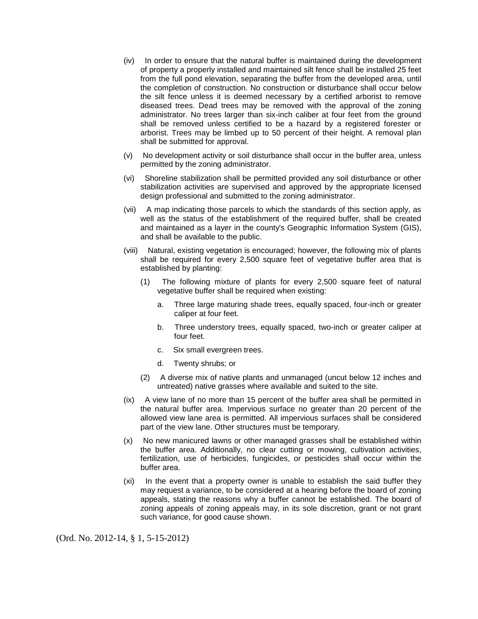- (iv) In order to ensure that the natural buffer is maintained during the development of property a properly installed and maintained silt fence shall be installed 25 feet from the full pond elevation, separating the buffer from the developed area, until the completion of construction. No construction or disturbance shall occur below the silt fence unless it is deemed necessary by a certified arborist to remove diseased trees. Dead trees may be removed with the approval of the zoning administrator. No trees larger than six-inch caliber at four feet from the ground shall be removed unless certified to be a hazard by a registered forester or arborist. Trees may be limbed up to 50 percent of their height. A removal plan shall be submitted for approval.
- (v) No development activity or soil disturbance shall occur in the buffer area, unless permitted by the zoning administrator.
- (vi) Shoreline stabilization shall be permitted provided any soil disturbance or other stabilization activities are supervised and approved by the appropriate licensed design professional and submitted to the zoning administrator.
- (vii) A map indicating those parcels to which the standards of this section apply, as well as the status of the establishment of the required buffer, shall be created and maintained as a layer in the county's Geographic Information System (GIS), and shall be available to the public.
- (viii) Natural, existing vegetation is encouraged; however, the following mix of plants shall be required for every 2,500 square feet of vegetative buffer area that is established by planting:
	- (1) The following mixture of plants for every 2,500 square feet of natural vegetative buffer shall be required when existing:
		- a. Three large maturing shade trees, equally spaced, four-inch or greater caliper at four feet.
		- b. Three understory trees, equally spaced, two-inch or greater caliper at four feet.
		- c. Six small evergreen trees.
		- d. Twenty shrubs; or
	- (2) A diverse mix of native plants and unmanaged (uncut below 12 inches and untreated) native grasses where available and suited to the site.
- (ix) A view lane of no more than 15 percent of the buffer area shall be permitted in the natural buffer area. Impervious surface no greater than 20 percent of the allowed view lane area is permitted. All impervious surfaces shall be considered part of the view lane. Other structures must be temporary.
- (x) No new manicured lawns or other managed grasses shall be established within the buffer area. Additionally, no clear cutting or mowing, cultivation activities, fertilization, use of herbicides, fungicides, or pesticides shall occur within the buffer area.
- (xi) In the event that a property owner is unable to establish the said buffer they may request a variance, to be considered at a hearing before the board of zoning appeals, stating the reasons why a buffer cannot be established. The board of zoning appeals of zoning appeals may, in its sole discretion, grant or not grant such variance, for good cause shown.

(Ord. No. 2012-14, § 1, 5-15-2012)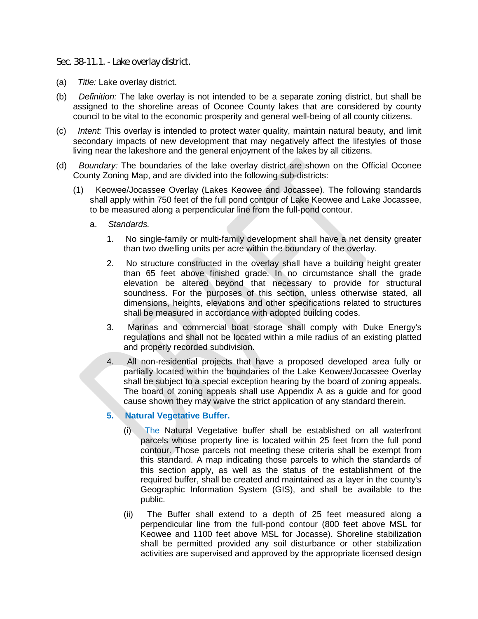Sec. 38-11.1. - Lake overlay district.

- (a) *Title:* Lake overlay district.
- (b) *Definition:* The lake overlay is not intended to be a separate zoning district, but shall be assigned to the shoreline areas of Oconee County lakes that are considered by county council to be vital to the economic prosperity and general well-being of all county citizens.
- (c) *Intent:* This overlay is intended to protect water quality, maintain natural beauty, and limit secondary impacts of new development that may negatively affect the lifestyles of those living near the lakeshore and the general enjoyment of the lakes by all citizens.
- (d) *Boundary:* The boundaries of the lake overlay district are shown on the Official Oconee County Zoning Map, and are divided into the following sub-districts:
	- (1) Keowee/Jocassee Overlay (Lakes Keowee and Jocassee). The following standards shall apply within 750 feet of the full pond contour of Lake Keowee and Lake Jocassee, to be measured along a perpendicular line from the full-pond contour.
		- a. *Standards.*
			- 1. No single-family or multi-family development shall have a net density greater than two dwelling units per acre within the boundary of the overlay.
			- 2. No structure constructed in the overlay shall have a building height greater than 65 feet above finished grade. In no circumstance shall the grade elevation be altered beyond that necessary to provide for structural soundness. For the purposes of this section, unless otherwise stated, all dimensions, heights, elevations and other specifications related to structures shall be measured in accordance with adopted building codes.
			- 3. Marinas and commercial boat storage shall comply with Duke Energy's regulations and shall not be located within a mile radius of an existing platted and properly recorded subdivision.
			- 4. All non-residential projects that have a proposed developed area fully or partially located within the boundaries of the Lake Keowee/Jocassee Overlay shall be subject to a special exception hearing by the board of zoning appeals. The board of zoning appeals shall use Appendix A as a guide and for good cause shown they may waive the strict application of any standard therein.

#### **5. Natural Vegetative Buffer.**

- (i) The Natural Vegetative buffer shall be established on all waterfront parcels whose property line is located within 25 feet from the full pond contour. Those parcels not meeting these criteria shall be exempt from this standard. A map indicating those parcels to which the standards of this section apply, as well as the status of the establishment of the required buffer, shall be created and maintained as a layer in the county's Geographic Information System (GIS), and shall be available to the public.
- (ii) The Buffer shall extend to a depth of 25 feet measured along a perpendicular line from the full-pond contour (800 feet above MSL for Keowee and 1100 feet above MSL for Jocasse). Shoreline stabilization shall be permitted provided any soil disturbance or other stabilization activities are supervised and approved by the appropriate licensed design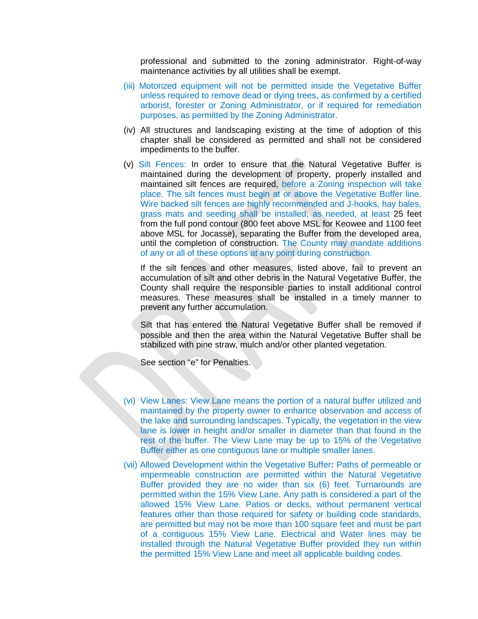professional and submitted to the zoning administrator. Right-of-way maintenance activities by all utilities shall be exempt.

- (iii) Motorized equipment will not be permitted inside the Vegetative Buffer unless required to remove dead or dying trees, as confirmed by a certified arborist, forester or Zoning Administrator, or if required for remediation purposes, as permitted by the Zoning Administrator.
- (iv) All structures and landscaping existing at the time of adoption of this chapter shall be considered as permitted and shall not be considered impediments to the buffer.
- (v) Silt Fences: In order to ensure that the Natural Vegetative Buffer is maintained during the development of property, properly installed and maintained silt fences are required, before a Zoning inspection will take place. The silt fences must begin at or above the Vegetative Buffer line. Wire backed silt fences are highly recommended and J-hooks, hay bales, grass mats and seeding shall be installed, as needed, at least 25 feet from the full pond contour (800 feet above MSL for Keowee and 1100 feet above MSL for Jocasse), separating the Buffer from the developed area, until the completion of construction. The County may mandate additions of any or all of these options at any point during construction.

If the silt fences and other measures, listed above, fail to prevent an accumulation of silt and other debris in the Natural Vegetative Buffer, the County shall require the responsible parties to install additional control measures. These measures shall be installed in a timely manner to prevent any further accumulation.

Silt that has entered the Natural Vegetative Buffer shall be removed if possible and then the area within the Natural Vegetative Buffer shall be stabilized with pine straw, mulch and/or other planted vegetation.

See section "e" for Penalties.

- (vi) View Lanes: View Lane means the portion of a natural buffer utilized and maintained by the property owner to enhance observation and access of the lake and surrounding landscapes. Typically, the vegetation in the view lane is lower in height and/or smaller in diameter than that found in the rest of the buffer. The View Lane may be up to 15% of the Vegetative Buffer either as one contiguous lane or multiple smaller lanes.
- (vii) Allowed Development within the Vegetative Buffer**:** Paths of permeable or impermeable construction are permitted within the Natural Vegetative Buffer provided they are no wider than six (6) feet. Turnarounds are permitted within the 15% View Lane. Any path is considered a part of the allowed 15% View Lane. Patios or decks, without permanent vertical features other than those required for safety or building code standards, are permitted but may not be more than 100 square feet and must be part of a contiguous 15% View Lane. Electrical and Water lines may be installed through the Natural Vegetative Buffer provided they run within the permitted 15% View Lane and meet all applicable building codes.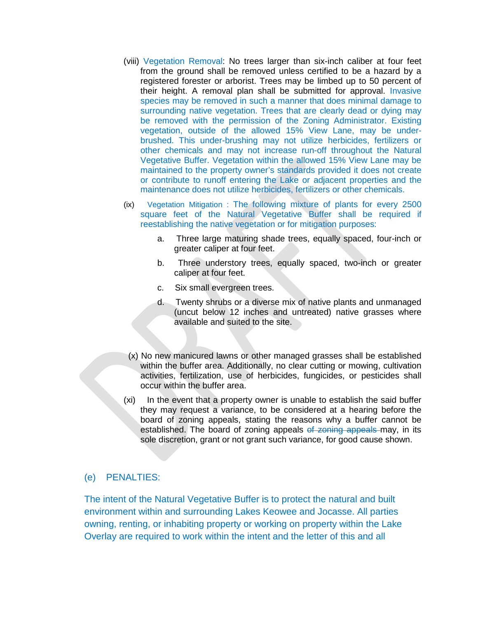- (viii) Vegetation Removal: No trees larger than six-inch caliber at four feet from the ground shall be removed unless certified to be a hazard by a registered forester or arborist. Trees may be limbed up to 50 percent of their height. A removal plan shall be submitted for approval. Invasive species may be removed in such a manner that does minimal damage to surrounding native vegetation. Trees that are clearly dead or dying may be removed with the permission of the Zoning Administrator. Existing vegetation, outside of the allowed 15% View Lane, may be underbrushed. This under-brushing may not utilize herbicides, fertilizers or other chemicals and may not increase run-off throughout the Natural Vegetative Buffer. Vegetation within the allowed 15% View Lane may be maintained to the property owner's standards provided it does not create or contribute to runoff entering the Lake or adjacent properties and the maintenance does not utilize herbicides, fertilizers or other chemicals.
- (ix) Vegetation Mitigation : The following mixture of plants for every 2500 square feet of the Natural Vegetative Buffer shall be required if reestablishing the native vegetation or for mitigation purposes:
	- a. Three large maturing shade trees, equally spaced, four-inch or greater caliper at four feet.
	- b. Three understory trees, equally spaced, two-inch or greater caliper at four feet.
	- c. Six small evergreen trees.
	- d. Twenty shrubs or a diverse mix of native plants and unmanaged (uncut below 12 inches and untreated) native grasses where available and suited to the site.
- (x) No new manicured lawns or other managed grasses shall be established within the buffer area. Additionally, no clear cutting or mowing, cultivation activities, fertilization, use of herbicides, fungicides, or pesticides shall occur within the buffer area.
- (xi) In the event that a property owner is unable to establish the said buffer they may request a variance, to be considered at a hearing before the board of zoning appeals, stating the reasons why a buffer cannot be established. The board of zoning appeals of zoning appeals may, in its sole discretion, grant or not grant such variance, for good cause shown.

#### (e) PENALTIES:

The intent of the Natural Vegetative Buffer is to protect the natural and built environment within and surrounding Lakes Keowee and Jocasse. All parties owning, renting, or inhabiting property or working on property within the Lake Overlay are required to work within the intent and the letter of this and all